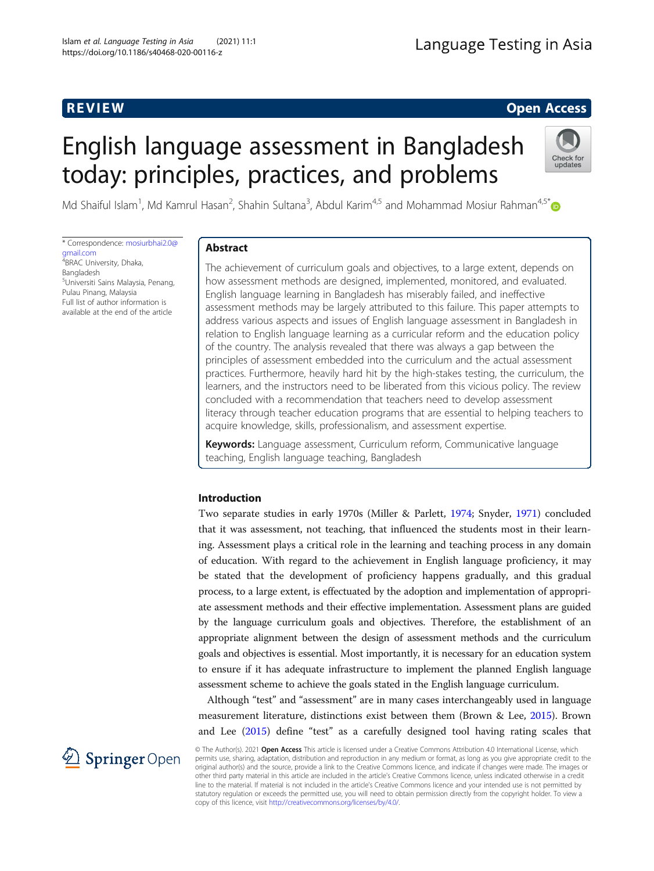# **REVIEW CONSTRUCTION CONSTRUCTION CONSTRUCTS**

# English language assessment in Bangladesh today: principles, practices, and problems



Md Shaiful Islam<sup>1</sup>, Md Kamrul Hasan<sup>2</sup>, Shahin Sultana<sup>3</sup>, Abdul Karim<sup>4,5</sup> and Mohammad Mosiur Rahman<sup>4,5\*</sup>

\* Correspondence: [mosiurbhai2.0@](mailto:mosiurbhai2.0@gmail.com) [gmail.com](mailto:mosiurbhai2.0@gmail.com) <sup>4</sup> BRAC University, Dhaka, Bangladesh 5 Universiti Sains Malaysia, Penang, Pulau Pinang, Malaysia Full list of author information is available at the end of the article

# Abstract

The achievement of curriculum goals and objectives, to a large extent, depends on how assessment methods are designed, implemented, monitored, and evaluated. English language learning in Bangladesh has miserably failed, and ineffective assessment methods may be largely attributed to this failure. This paper attempts to address various aspects and issues of English language assessment in Bangladesh in relation to English language learning as a curricular reform and the education policy of the country. The analysis revealed that there was always a gap between the principles of assessment embedded into the curriculum and the actual assessment practices. Furthermore, heavily hard hit by the high-stakes testing, the curriculum, the learners, and the instructors need to be liberated from this vicious policy. The review concluded with a recommendation that teachers need to develop assessment literacy through teacher education programs that are essential to helping teachers to acquire knowledge, skills, professionalism, and assessment expertise.

Keywords: Language assessment, Curriculum reform, Communicative language teaching, English language teaching, Bangladesh

# Introduction

Two separate studies in early 1970s (Miller & Parlett, [1974;](#page-19-0) Snyder, [1971\)](#page-20-0) concluded that it was assessment, not teaching, that influenced the students most in their learning. Assessment plays a critical role in the learning and teaching process in any domain of education. With regard to the achievement in English language proficiency, it may be stated that the development of proficiency happens gradually, and this gradual process, to a large extent, is effectuated by the adoption and implementation of appropriate assessment methods and their effective implementation. Assessment plans are guided by the language curriculum goals and objectives. Therefore, the establishment of an appropriate alignment between the design of assessment methods and the curriculum goals and objectives is essential. Most importantly, it is necessary for an education system to ensure if it has adequate infrastructure to implement the planned English language assessment scheme to achieve the goals stated in the English language curriculum.

Although "test" and "assessment" are in many cases interchangeably used in language measurement literature, distinctions exist between them (Brown & Lee, [2015\)](#page-18-0). Brown and Lee ([2015](#page-18-0)) define "test" as a carefully designed tool having rating scales that



© The Author(s). 2021 Open Access This article is licensed under a Creative Commons Attribution 4.0 International License, which permits use, sharing, adaptation, distribution and reproduction in any medium or format, as long as you give appropriate credit to the original author(s) and the source, provide a link to the Creative Commons licence, and indicate if changes were made. The images or other third party material in this article are included in the article's Creative Commons licence, unless indicated otherwise in a credit line to the material. If material is not included in the article's Creative Commons licence and your intended use is not permitted by statutory regulation or exceeds the permitted use, you will need to obtain permission directly from the copyright holder. To view a copy of this licence, visit <http://creativecommons.org/licenses/by/4.0/>.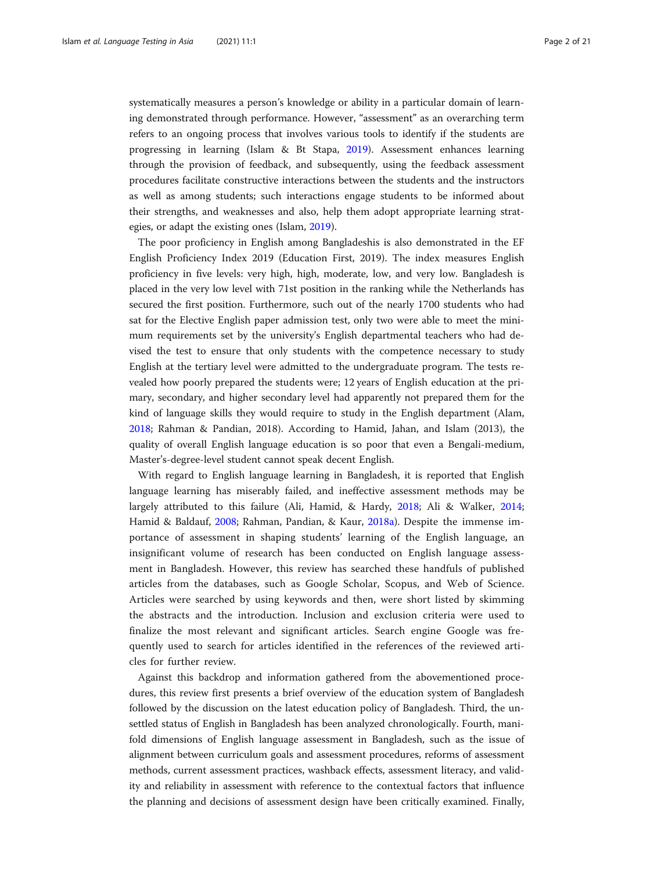systematically measures a person's knowledge or ability in a particular domain of learning demonstrated through performance. However, "assessment" as an overarching term refers to an ongoing process that involves various tools to identify if the students are progressing in learning (Islam & Bt Stapa, [2019](#page-18-0)). Assessment enhances learning through the provision of feedback, and subsequently, using the feedback assessment procedures facilitate constructive interactions between the students and the instructors as well as among students; such interactions engage students to be informed about their strengths, and weaknesses and also, help them adopt appropriate learning strategies, or adapt the existing ones (Islam, [2019\)](#page-18-0).

The poor proficiency in English among Bangladeshis is also demonstrated in the EF English Proficiency Index 2019 (Education First, 2019). The index measures English proficiency in five levels: very high, high, moderate, low, and very low. Bangladesh is placed in the very low level with 71st position in the ranking while the Netherlands has secured the first position. Furthermore, such out of the nearly 1700 students who had sat for the Elective English paper admission test, only two were able to meet the minimum requirements set by the university's English departmental teachers who had devised the test to ensure that only students with the competence necessary to study English at the tertiary level were admitted to the undergraduate program. The tests revealed how poorly prepared the students were; 12 years of English education at the primary, secondary, and higher secondary level had apparently not prepared them for the kind of language skills they would require to study in the English department (Alam, [2018](#page-17-0); Rahman & Pandian, 2018). According to Hamid, Jahan, and Islam (2013), the quality of overall English language education is so poor that even a Bengali-medium, Master's-degree-level student cannot speak decent English.

With regard to English language learning in Bangladesh, it is reported that English language learning has miserably failed, and ineffective assessment methods may be largely attributed to this failure (Ali, Hamid, & Hardy, [2018;](#page-17-0) Ali & Walker, [2014](#page-17-0); Hamid & Baldauf, [2008](#page-18-0); Rahman, Pandian, & Kaur, [2018a](#page-19-0)). Despite the immense importance of assessment in shaping students' learning of the English language, an insignificant volume of research has been conducted on English language assessment in Bangladesh. However, this review has searched these handfuls of published articles from the databases, such as Google Scholar, Scopus, and Web of Science. Articles were searched by using keywords and then, were short listed by skimming the abstracts and the introduction. Inclusion and exclusion criteria were used to finalize the most relevant and significant articles. Search engine Google was frequently used to search for articles identified in the references of the reviewed articles for further review.

Against this backdrop and information gathered from the abovementioned procedures, this review first presents a brief overview of the education system of Bangladesh followed by the discussion on the latest education policy of Bangladesh. Third, the unsettled status of English in Bangladesh has been analyzed chronologically. Fourth, manifold dimensions of English language assessment in Bangladesh, such as the issue of alignment between curriculum goals and assessment procedures, reforms of assessment methods, current assessment practices, washback effects, assessment literacy, and validity and reliability in assessment with reference to the contextual factors that influence the planning and decisions of assessment design have been critically examined. Finally,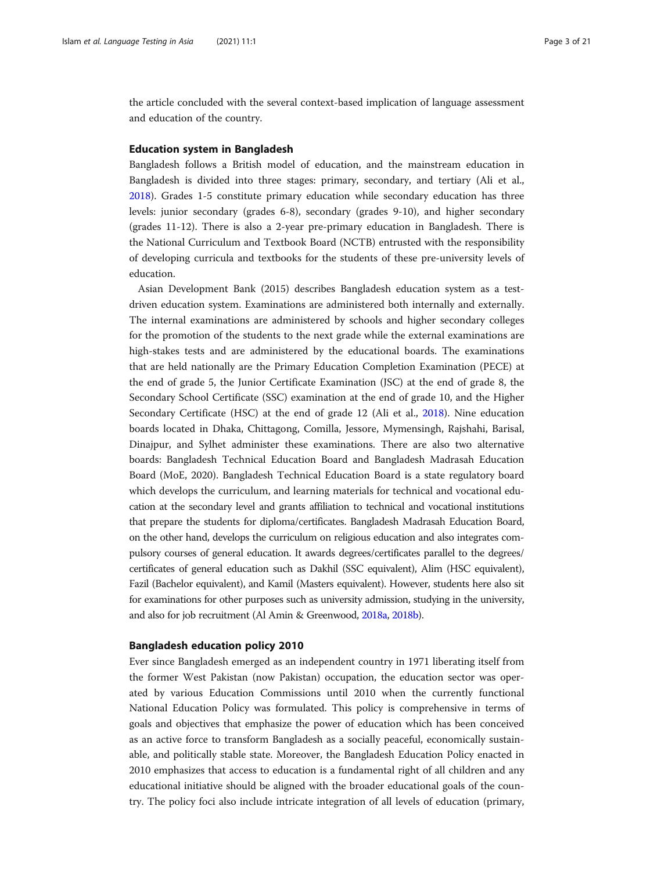the article concluded with the several context-based implication of language assessment and education of the country.

# Education system in Bangladesh

Bangladesh follows a British model of education, and the mainstream education in Bangladesh is divided into three stages: primary, secondary, and tertiary (Ali et al., [2018](#page-17-0)). Grades 1-5 constitute primary education while secondary education has three levels: junior secondary (grades 6-8), secondary (grades 9-10), and higher secondary (grades 11-12). There is also a 2-year pre-primary education in Bangladesh. There is the National Curriculum and Textbook Board (NCTB) entrusted with the responsibility of developing curricula and textbooks for the students of these pre-university levels of education.

Asian Development Bank (2015) describes Bangladesh education system as a testdriven education system. Examinations are administered both internally and externally. The internal examinations are administered by schools and higher secondary colleges for the promotion of the students to the next grade while the external examinations are high-stakes tests and are administered by the educational boards. The examinations that are held nationally are the Primary Education Completion Examination (PECE) at the end of grade 5, the Junior Certificate Examination (JSC) at the end of grade 8, the Secondary School Certificate (SSC) examination at the end of grade 10, and the Higher Secondary Certificate (HSC) at the end of grade 12 (Ali et al., [2018\)](#page-17-0). Nine education boards located in Dhaka, Chittagong, Comilla, Jessore, Mymensingh, Rajshahi, Barisal, Dinajpur, and Sylhet administer these examinations. There are also two alternative boards: Bangladesh Technical Education Board and Bangladesh Madrasah Education Board (MoE, 2020). Bangladesh Technical Education Board is a state regulatory board which develops the curriculum, and learning materials for technical and vocational education at the secondary level and grants affiliation to technical and vocational institutions that prepare the students for diploma/certificates. Bangladesh Madrasah Education Board, on the other hand, develops the curriculum on religious education and also integrates compulsory courses of general education. It awards degrees/certificates parallel to the degrees/ certificates of general education such as Dakhil (SSC equivalent), Alim (HSC equivalent), Fazil (Bachelor equivalent), and Kamil (Masters equivalent). However, students here also sit for examinations for other purposes such as university admission, studying in the university, and also for job recruitment (Al Amin & Greenwood, [2018a,](#page-17-0) [2018b](#page-17-0)).

## Bangladesh education policy 2010

Ever since Bangladesh emerged as an independent country in 1971 liberating itself from the former West Pakistan (now Pakistan) occupation, the education sector was operated by various Education Commissions until 2010 when the currently functional National Education Policy was formulated. This policy is comprehensive in terms of goals and objectives that emphasize the power of education which has been conceived as an active force to transform Bangladesh as a socially peaceful, economically sustainable, and politically stable state. Moreover, the Bangladesh Education Policy enacted in 2010 emphasizes that access to education is a fundamental right of all children and any educational initiative should be aligned with the broader educational goals of the country. The policy foci also include intricate integration of all levels of education (primary,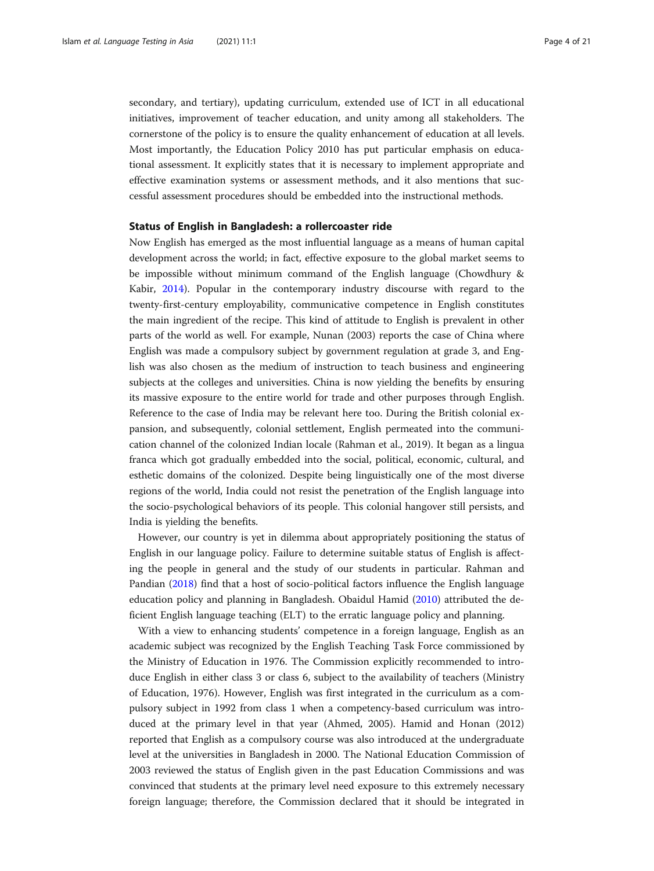secondary, and tertiary), updating curriculum, extended use of ICT in all educational initiatives, improvement of teacher education, and unity among all stakeholders. The cornerstone of the policy is to ensure the quality enhancement of education at all levels. Most importantly, the Education Policy 2010 has put particular emphasis on educational assessment. It explicitly states that it is necessary to implement appropriate and effective examination systems or assessment methods, and it also mentions that successful assessment procedures should be embedded into the instructional methods.

# Status of English in Bangladesh: a rollercoaster ride

Now English has emerged as the most influential language as a means of human capital development across the world; in fact, effective exposure to the global market seems to be impossible without minimum command of the English language (Chowdhury & Kabir, [2014\)](#page-18-0). Popular in the contemporary industry discourse with regard to the twenty-first-century employability, communicative competence in English constitutes the main ingredient of the recipe. This kind of attitude to English is prevalent in other parts of the world as well. For example, Nunan (2003) reports the case of China where English was made a compulsory subject by government regulation at grade 3, and English was also chosen as the medium of instruction to teach business and engineering subjects at the colleges and universities. China is now yielding the benefits by ensuring its massive exposure to the entire world for trade and other purposes through English. Reference to the case of India may be relevant here too. During the British colonial expansion, and subsequently, colonial settlement, English permeated into the communication channel of the colonized Indian locale (Rahman et al., 2019). It began as a lingua franca which got gradually embedded into the social, political, economic, cultural, and esthetic domains of the colonized. Despite being linguistically one of the most diverse regions of the world, India could not resist the penetration of the English language into the socio-psychological behaviors of its people. This colonial hangover still persists, and India is yielding the benefits.

However, our country is yet in dilemma about appropriately positioning the status of English in our language policy. Failure to determine suitable status of English is affecting the people in general and the study of our students in particular. Rahman and Pandian ([2018\)](#page-19-0) find that a host of socio-political factors influence the English language education policy and planning in Bangladesh. Obaidul Hamid ([2010](#page-19-0)) attributed the deficient English language teaching (ELT) to the erratic language policy and planning.

With a view to enhancing students' competence in a foreign language, English as an academic subject was recognized by the English Teaching Task Force commissioned by the Ministry of Education in 1976. The Commission explicitly recommended to introduce English in either class 3 or class 6, subject to the availability of teachers (Ministry of Education, 1976). However, English was first integrated in the curriculum as a compulsory subject in 1992 from class 1 when a competency-based curriculum was introduced at the primary level in that year (Ahmed, 2005). Hamid and Honan (2012) reported that English as a compulsory course was also introduced at the undergraduate level at the universities in Bangladesh in 2000. The National Education Commission of 2003 reviewed the status of English given in the past Education Commissions and was convinced that students at the primary level need exposure to this extremely necessary foreign language; therefore, the Commission declared that it should be integrated in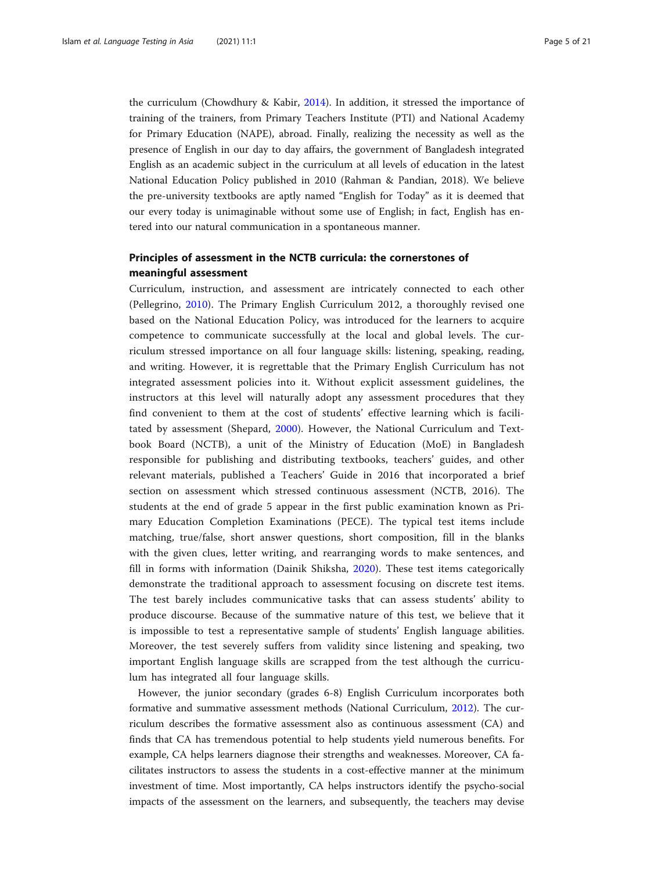the curriculum (Chowdhury & Kabir, [2014\)](#page-18-0). In addition, it stressed the importance of training of the trainers, from Primary Teachers Institute (PTI) and National Academy for Primary Education (NAPE), abroad. Finally, realizing the necessity as well as the presence of English in our day to day affairs, the government of Bangladesh integrated English as an academic subject in the curriculum at all levels of education in the latest National Education Policy published in 2010 (Rahman & Pandian, 2018). We believe the pre-university textbooks are aptly named "English for Today" as it is deemed that our every today is unimaginable without some use of English; in fact, English has entered into our natural communication in a spontaneous manner.

# Principles of assessment in the NCTB curricula: the cornerstones of meaningful assessment

Curriculum, instruction, and assessment are intricately connected to each other (Pellegrino, [2010](#page-19-0)). The Primary English Curriculum 2012, a thoroughly revised one based on the National Education Policy, was introduced for the learners to acquire competence to communicate successfully at the local and global levels. The curriculum stressed importance on all four language skills: listening, speaking, reading, and writing. However, it is regrettable that the Primary English Curriculum has not integrated assessment policies into it. Without explicit assessment guidelines, the instructors at this level will naturally adopt any assessment procedures that they find convenient to them at the cost of students' effective learning which is facilitated by assessment (Shepard, [2000\)](#page-19-0). However, the National Curriculum and Textbook Board (NCTB), a unit of the Ministry of Education (MoE) in Bangladesh responsible for publishing and distributing textbooks, teachers' guides, and other relevant materials, published a Teachers' Guide in 2016 that incorporated a brief section on assessment which stressed continuous assessment (NCTB, 2016). The students at the end of grade 5 appear in the first public examination known as Primary Education Completion Examinations (PECE). The typical test items include matching, true/false, short answer questions, short composition, fill in the blanks with the given clues, letter writing, and rearranging words to make sentences, and fill in forms with information (Dainik Shiksha, [2020\)](#page-18-0). These test items categorically demonstrate the traditional approach to assessment focusing on discrete test items. The test barely includes communicative tasks that can assess students' ability to produce discourse. Because of the summative nature of this test, we believe that it is impossible to test a representative sample of students' English language abilities. Moreover, the test severely suffers from validity since listening and speaking, two important English language skills are scrapped from the test although the curriculum has integrated all four language skills.

However, the junior secondary (grades 6-8) English Curriculum incorporates both formative and summative assessment methods (National Curriculum, [2012](#page-19-0)). The curriculum describes the formative assessment also as continuous assessment (CA) and finds that CA has tremendous potential to help students yield numerous benefits. For example, CA helps learners diagnose their strengths and weaknesses. Moreover, CA facilitates instructors to assess the students in a cost-effective manner at the minimum investment of time. Most importantly, CA helps instructors identify the psycho-social impacts of the assessment on the learners, and subsequently, the teachers may devise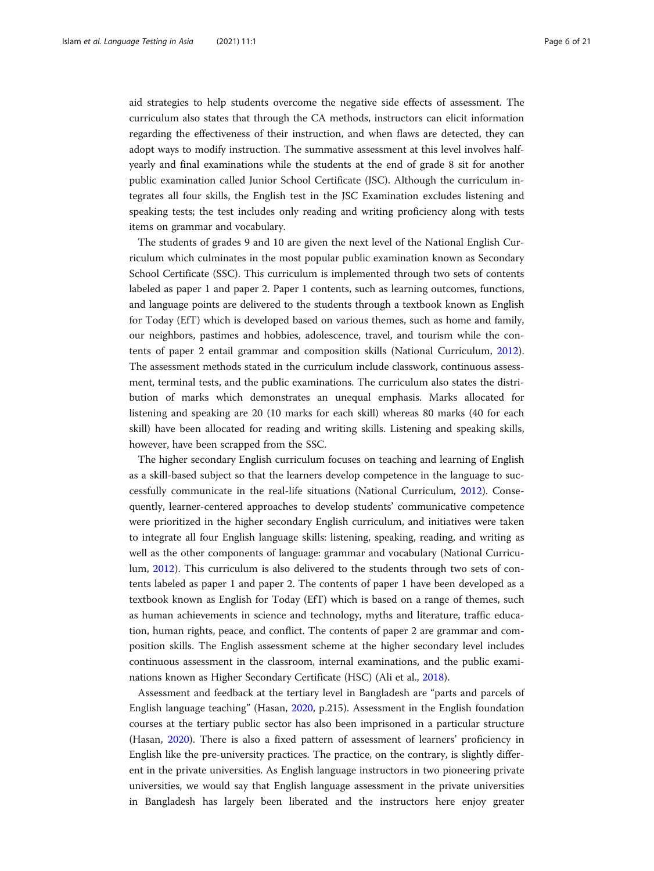aid strategies to help students overcome the negative side effects of assessment. The curriculum also states that through the CA methods, instructors can elicit information regarding the effectiveness of their instruction, and when flaws are detected, they can adopt ways to modify instruction. The summative assessment at this level involves halfyearly and final examinations while the students at the end of grade 8 sit for another public examination called Junior School Certificate (JSC). Although the curriculum integrates all four skills, the English test in the JSC Examination excludes listening and speaking tests; the test includes only reading and writing proficiency along with tests items on grammar and vocabulary.

The students of grades 9 and 10 are given the next level of the National English Curriculum which culminates in the most popular public examination known as Secondary School Certificate (SSC). This curriculum is implemented through two sets of contents labeled as paper 1 and paper 2. Paper 1 contents, such as learning outcomes, functions, and language points are delivered to the students through a textbook known as English for Today (EfT) which is developed based on various themes, such as home and family, our neighbors, pastimes and hobbies, adolescence, travel, and tourism while the contents of paper 2 entail grammar and composition skills (National Curriculum, [2012](#page-19-0)). The assessment methods stated in the curriculum include classwork, continuous assessment, terminal tests, and the public examinations. The curriculum also states the distribution of marks which demonstrates an unequal emphasis. Marks allocated for listening and speaking are 20 (10 marks for each skill) whereas 80 marks (40 for each skill) have been allocated for reading and writing skills. Listening and speaking skills, however, have been scrapped from the SSC.

The higher secondary English curriculum focuses on teaching and learning of English as a skill-based subject so that the learners develop competence in the language to successfully communicate in the real-life situations (National Curriculum, [2012](#page-19-0)). Consequently, learner-centered approaches to develop students' communicative competence were prioritized in the higher secondary English curriculum, and initiatives were taken to integrate all four English language skills: listening, speaking, reading, and writing as well as the other components of language: grammar and vocabulary (National Curriculum, [2012](#page-19-0)). This curriculum is also delivered to the students through two sets of contents labeled as paper 1 and paper 2. The contents of paper 1 have been developed as a textbook known as English for Today (EfT) which is based on a range of themes, such as human achievements in science and technology, myths and literature, traffic education, human rights, peace, and conflict. The contents of paper 2 are grammar and composition skills. The English assessment scheme at the higher secondary level includes continuous assessment in the classroom, internal examinations, and the public examinations known as Higher Secondary Certificate (HSC) (Ali et al., [2018\)](#page-17-0).

Assessment and feedback at the tertiary level in Bangladesh are "parts and parcels of English language teaching" (Hasan, [2020](#page-18-0), p.215). Assessment in the English foundation courses at the tertiary public sector has also been imprisoned in a particular structure (Hasan, [2020](#page-18-0)). There is also a fixed pattern of assessment of learners' proficiency in English like the pre-university practices. The practice, on the contrary, is slightly different in the private universities. As English language instructors in two pioneering private universities, we would say that English language assessment in the private universities in Bangladesh has largely been liberated and the instructors here enjoy greater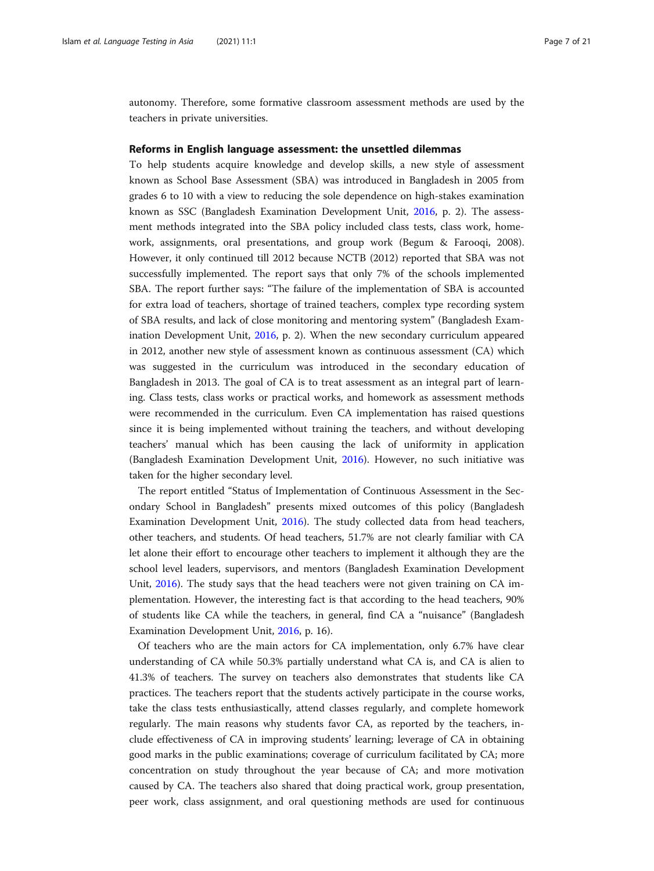autonomy. Therefore, some formative classroom assessment methods are used by the teachers in private universities.

# Reforms in English language assessment: the unsettled dilemmas

To help students acquire knowledge and develop skills, a new style of assessment known as School Base Assessment (SBA) was introduced in Bangladesh in 2005 from grades 6 to 10 with a view to reducing the sole dependence on high-stakes examination known as SSC (Bangladesh Examination Development Unit, [2016](#page-18-0), p. 2). The assessment methods integrated into the SBA policy included class tests, class work, homework, assignments, oral presentations, and group work (Begum & Farooqi, 2008). However, it only continued till 2012 because NCTB (2012) reported that SBA was not successfully implemented. The report says that only 7% of the schools implemented SBA. The report further says: "The failure of the implementation of SBA is accounted for extra load of teachers, shortage of trained teachers, complex type recording system of SBA results, and lack of close monitoring and mentoring system" (Bangladesh Examination Development Unit, [2016,](#page-18-0) p. 2). When the new secondary curriculum appeared in 2012, another new style of assessment known as continuous assessment (CA) which was suggested in the curriculum was introduced in the secondary education of Bangladesh in 2013. The goal of CA is to treat assessment as an integral part of learning. Class tests, class works or practical works, and homework as assessment methods were recommended in the curriculum. Even CA implementation has raised questions since it is being implemented without training the teachers, and without developing teachers' manual which has been causing the lack of uniformity in application (Bangladesh Examination Development Unit, [2016](#page-18-0)). However, no such initiative was taken for the higher secondary level.

The report entitled "Status of Implementation of Continuous Assessment in the Secondary School in Bangladesh" presents mixed outcomes of this policy (Bangladesh Examination Development Unit, [2016](#page-18-0)). The study collected data from head teachers, other teachers, and students. Of head teachers, 51.7% are not clearly familiar with CA let alone their effort to encourage other teachers to implement it although they are the school level leaders, supervisors, and mentors (Bangladesh Examination Development Unit, [2016](#page-18-0)). The study says that the head teachers were not given training on CA implementation. However, the interesting fact is that according to the head teachers, 90% of students like CA while the teachers, in general, find CA a "nuisance" (Bangladesh Examination Development Unit, [2016,](#page-18-0) p. 16).

Of teachers who are the main actors for CA implementation, only 6.7% have clear understanding of CA while 50.3% partially understand what CA is, and CA is alien to 41.3% of teachers. The survey on teachers also demonstrates that students like CA practices. The teachers report that the students actively participate in the course works, take the class tests enthusiastically, attend classes regularly, and complete homework regularly. The main reasons why students favor CA, as reported by the teachers, include effectiveness of CA in improving students' learning; leverage of CA in obtaining good marks in the public examinations; coverage of curriculum facilitated by CA; more concentration on study throughout the year because of CA; and more motivation caused by CA. The teachers also shared that doing practical work, group presentation, peer work, class assignment, and oral questioning methods are used for continuous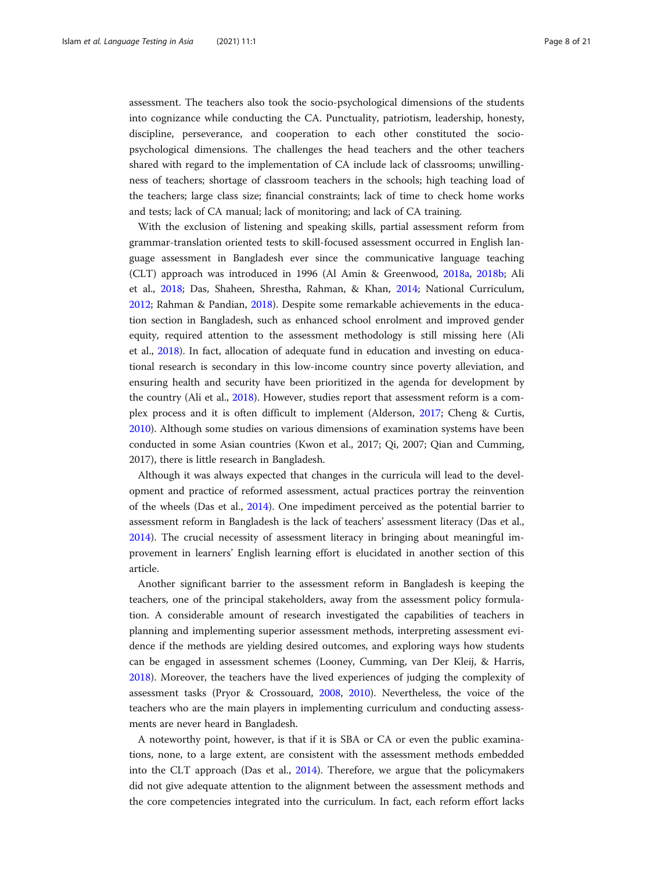assessment. The teachers also took the socio-psychological dimensions of the students into cognizance while conducting the CA. Punctuality, patriotism, leadership, honesty, discipline, perseverance, and cooperation to each other constituted the sociopsychological dimensions. The challenges the head teachers and the other teachers shared with regard to the implementation of CA include lack of classrooms; unwillingness of teachers; shortage of classroom teachers in the schools; high teaching load of the teachers; large class size; financial constraints; lack of time to check home works and tests; lack of CA manual; lack of monitoring; and lack of CA training.

With the exclusion of listening and speaking skills, partial assessment reform from grammar-translation oriented tests to skill-focused assessment occurred in English language assessment in Bangladesh ever since the communicative language teaching (CLT) approach was introduced in 1996 (Al Amin & Greenwood, [2018a,](#page-17-0) [2018b](#page-17-0); Ali et al., [2018](#page-17-0); Das, Shaheen, Shrestha, Rahman, & Khan, [2014;](#page-18-0) National Curriculum, [2012](#page-19-0); Rahman & Pandian, [2018](#page-19-0)). Despite some remarkable achievements in the education section in Bangladesh, such as enhanced school enrolment and improved gender equity, required attention to the assessment methodology is still missing here (Ali et al., [2018](#page-17-0)). In fact, allocation of adequate fund in education and investing on educational research is secondary in this low-income country since poverty alleviation, and ensuring health and security have been prioritized in the agenda for development by the country (Ali et al., [2018](#page-17-0)). However, studies report that assessment reform is a complex process and it is often difficult to implement (Alderson, [2017;](#page-17-0) Cheng & Curtis, [2010](#page-18-0)). Although some studies on various dimensions of examination systems have been conducted in some Asian countries (Kwon et al., 2017; Qi, 2007; Qian and Cumming, 2017), there is little research in Bangladesh.

Although it was always expected that changes in the curricula will lead to the development and practice of reformed assessment, actual practices portray the reinvention of the wheels (Das et al., [2014\)](#page-18-0). One impediment perceived as the potential barrier to assessment reform in Bangladesh is the lack of teachers' assessment literacy (Das et al., [2014](#page-18-0)). The crucial necessity of assessment literacy in bringing about meaningful improvement in learners' English learning effort is elucidated in another section of this article.

Another significant barrier to the assessment reform in Bangladesh is keeping the teachers, one of the principal stakeholders, away from the assessment policy formulation. A considerable amount of research investigated the capabilities of teachers in planning and implementing superior assessment methods, interpreting assessment evidence if the methods are yielding desired outcomes, and exploring ways how students can be engaged in assessment schemes (Looney, Cumming, van Der Kleij, & Harris, [2018](#page-19-0)). Moreover, the teachers have the lived experiences of judging the complexity of assessment tasks (Pryor & Crossouard, [2008](#page-19-0), [2010](#page-19-0)). Nevertheless, the voice of the teachers who are the main players in implementing curriculum and conducting assessments are never heard in Bangladesh.

A noteworthy point, however, is that if it is SBA or CA or even the public examinations, none, to a large extent, are consistent with the assessment methods embedded into the CLT approach (Das et al., [2014\)](#page-18-0). Therefore, we argue that the policymakers did not give adequate attention to the alignment between the assessment methods and the core competencies integrated into the curriculum. In fact, each reform effort lacks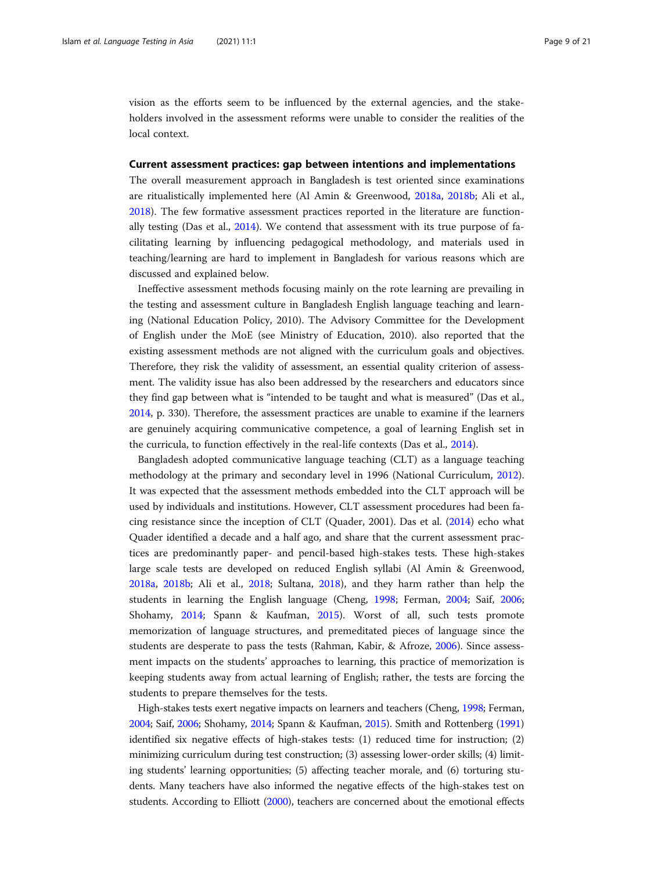vision as the efforts seem to be influenced by the external agencies, and the stakeholders involved in the assessment reforms were unable to consider the realities of the local context.

# Current assessment practices: gap between intentions and implementations

The overall measurement approach in Bangladesh is test oriented since examinations are ritualistically implemented here (Al Amin & Greenwood, [2018a,](#page-17-0) [2018b;](#page-17-0) Ali et al., [2018](#page-17-0)). The few formative assessment practices reported in the literature are functionally testing (Das et al., [2014](#page-18-0)). We contend that assessment with its true purpose of facilitating learning by influencing pedagogical methodology, and materials used in teaching/learning are hard to implement in Bangladesh for various reasons which are discussed and explained below.

Ineffective assessment methods focusing mainly on the rote learning are prevailing in the testing and assessment culture in Bangladesh English language teaching and learning (National Education Policy, 2010). The Advisory Committee for the Development of English under the MoE (see Ministry of Education, 2010). also reported that the existing assessment methods are not aligned with the curriculum goals and objectives. Therefore, they risk the validity of assessment, an essential quality criterion of assessment. The validity issue has also been addressed by the researchers and educators since they find gap between what is "intended to be taught and what is measured" (Das et al., [2014](#page-18-0), p. 330). Therefore, the assessment practices are unable to examine if the learners are genuinely acquiring communicative competence, a goal of learning English set in the curricula, to function effectively in the real-life contexts (Das et al., [2014](#page-18-0)).

Bangladesh adopted communicative language teaching (CLT) as a language teaching methodology at the primary and secondary level in 1996 (National Curriculum, [2012](#page-19-0)). It was expected that the assessment methods embedded into the CLT approach will be used by individuals and institutions. However, CLT assessment procedures had been facing resistance since the inception of CLT (Quader, 2001). Das et al. [\(2014\)](#page-18-0) echo what Quader identified a decade and a half ago, and share that the current assessment practices are predominantly paper- and pencil-based high-stakes tests. These high-stakes large scale tests are developed on reduced English syllabi (Al Amin & Greenwood, [2018a,](#page-17-0) [2018b;](#page-17-0) Ali et al., [2018](#page-17-0); Sultana, [2018](#page-20-0)), and they harm rather than help the students in learning the English language (Cheng, [1998](#page-18-0); Ferman, [2004](#page-18-0); Saif, [2006](#page-19-0); Shohamy, [2014;](#page-19-0) Spann & Kaufman, [2015](#page-20-0)). Worst of all, such tests promote memorization of language structures, and premeditated pieces of language since the students are desperate to pass the tests (Rahman, Kabir, & Afroze, [2006](#page-19-0)). Since assessment impacts on the students' approaches to learning, this practice of memorization is keeping students away from actual learning of English; rather, the tests are forcing the students to prepare themselves for the tests.

High-stakes tests exert negative impacts on learners and teachers (Cheng, [1998](#page-18-0); Ferman, [2004;](#page-18-0) Saif, [2006;](#page-19-0) Shohamy, [2014;](#page-19-0) Spann & Kaufman, [2015\)](#page-20-0). Smith and Rottenberg [\(1991](#page-19-0)) identified six negative effects of high-stakes tests: (1) reduced time for instruction; (2) minimizing curriculum during test construction; (3) assessing lower-order skills; (4) limiting students' learning opportunities; (5) affecting teacher morale, and (6) torturing students. Many teachers have also informed the negative effects of the high-stakes test on students. According to Elliott [\(2000](#page-18-0)), teachers are concerned about the emotional effects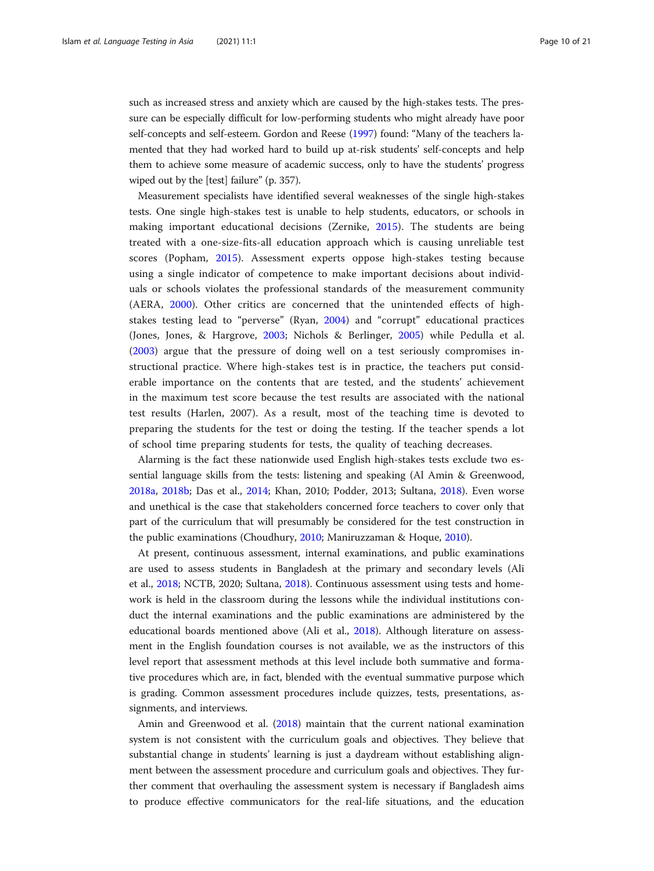such as increased stress and anxiety which are caused by the high-stakes tests. The pressure can be especially difficult for low-performing students who might already have poor self-concepts and self-esteem. Gordon and Reese [\(1997](#page-18-0)) found: "Many of the teachers lamented that they had worked hard to build up at-risk students' self-concepts and help them to achieve some measure of academic success, only to have the students' progress wiped out by the [test] failure" (p. 357).

Measurement specialists have identified several weaknesses of the single high-stakes tests. One single high-stakes test is unable to help students, educators, or schools in making important educational decisions (Zernike, [2015](#page-20-0)). The students are being treated with a one-size-fits-all education approach which is causing unreliable test scores (Popham, [2015\)](#page-19-0). Assessment experts oppose high-stakes testing because using a single indicator of competence to make important decisions about individuals or schools violates the professional standards of the measurement community (AERA, [2000\)](#page-17-0). Other critics are concerned that the unintended effects of highstakes testing lead to "perverse" (Ryan, [2004](#page-19-0)) and "corrupt" educational practices (Jones, Jones, & Hargrove, [2003;](#page-18-0) Nichols & Berlinger, [2005\)](#page-19-0) while Pedulla et al. ([2003\)](#page-19-0) argue that the pressure of doing well on a test seriously compromises instructional practice. Where high-stakes test is in practice, the teachers put considerable importance on the contents that are tested, and the students' achievement in the maximum test score because the test results are associated with the national test results (Harlen, 2007). As a result, most of the teaching time is devoted to preparing the students for the test or doing the testing. If the teacher spends a lot of school time preparing students for tests, the quality of teaching decreases.

Alarming is the fact these nationwide used English high-stakes tests exclude two essential language skills from the tests: listening and speaking (Al Amin & Greenwood, [2018a,](#page-17-0) [2018b;](#page-17-0) Das et al., [2014](#page-18-0); Khan, 2010; Podder, 2013; Sultana, [2018\)](#page-20-0). Even worse and unethical is the case that stakeholders concerned force teachers to cover only that part of the curriculum that will presumably be considered for the test construction in the public examinations (Choudhury, [2010;](#page-18-0) Maniruzzaman & Hoque, [2010\)](#page-19-0).

At present, continuous assessment, internal examinations, and public examinations are used to assess students in Bangladesh at the primary and secondary levels (Ali et al., [2018](#page-17-0); NCTB, 2020; Sultana, [2018](#page-20-0)). Continuous assessment using tests and homework is held in the classroom during the lessons while the individual institutions conduct the internal examinations and the public examinations are administered by the educational boards mentioned above (Ali et al., [2018\)](#page-17-0). Although literature on assessment in the English foundation courses is not available, we as the instructors of this level report that assessment methods at this level include both summative and formative procedures which are, in fact, blended with the eventual summative purpose which is grading. Common assessment procedures include quizzes, tests, presentations, assignments, and interviews.

Amin and Greenwood et al. ([2018](#page-18-0)) maintain that the current national examination system is not consistent with the curriculum goals and objectives. They believe that substantial change in students' learning is just a daydream without establishing alignment between the assessment procedure and curriculum goals and objectives. They further comment that overhauling the assessment system is necessary if Bangladesh aims to produce effective communicators for the real-life situations, and the education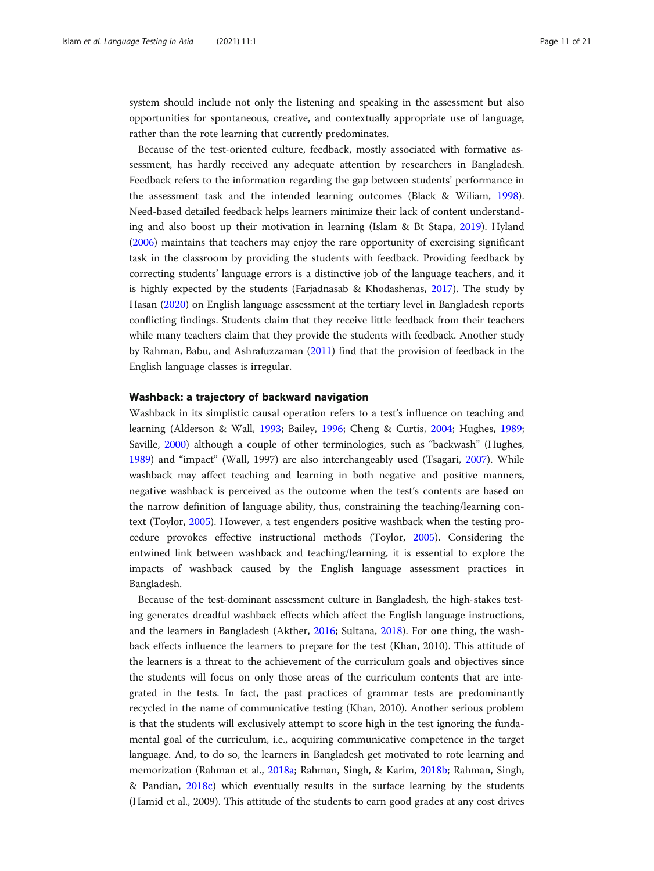system should include not only the listening and speaking in the assessment but also opportunities for spontaneous, creative, and contextually appropriate use of language, rather than the rote learning that currently predominates.

Because of the test-oriented culture, feedback, mostly associated with formative assessment, has hardly received any adequate attention by researchers in Bangladesh. Feedback refers to the information regarding the gap between students' performance in the assessment task and the intended learning outcomes (Black & Wiliam, [1998](#page-18-0)). Need-based detailed feedback helps learners minimize their lack of content understanding and also boost up their motivation in learning (Islam & Bt Stapa, [2019\)](#page-18-0). Hyland ([2006](#page-18-0)) maintains that teachers may enjoy the rare opportunity of exercising significant task in the classroom by providing the students with feedback. Providing feedback by correcting students' language errors is a distinctive job of the language teachers, and it is highly expected by the students (Farjadnasab & Khodashenas, [2017](#page-18-0)). The study by Hasan [\(2020](#page-18-0)) on English language assessment at the tertiary level in Bangladesh reports conflicting findings. Students claim that they receive little feedback from their teachers while many teachers claim that they provide the students with feedback. Another study by Rahman, Babu, and Ashrafuzzaman ([2011](#page-19-0)) find that the provision of feedback in the English language classes is irregular.

# Washback: a trajectory of backward navigation

Washback in its simplistic causal operation refers to a test's influence on teaching and learning (Alderson & Wall, [1993](#page-17-0); Bailey, [1996;](#page-18-0) Cheng & Curtis, [2004](#page-18-0); Hughes, [1989](#page-18-0); Saville, [2000](#page-19-0)) although a couple of other terminologies, such as "backwash" (Hughes, [1989](#page-18-0)) and "impact" (Wall, 1997) are also interchangeably used (Tsagari, [2007\)](#page-20-0). While washback may affect teaching and learning in both negative and positive manners, negative washback is perceived as the outcome when the test's contents are based on the narrow definition of language ability, thus, constraining the teaching/learning context (Toylor, [2005\)](#page-20-0). However, a test engenders positive washback when the testing procedure provokes effective instructional methods (Toylor, [2005](#page-20-0)). Considering the entwined link between washback and teaching/learning, it is essential to explore the impacts of washback caused by the English language assessment practices in Bangladesh.

Because of the test-dominant assessment culture in Bangladesh, the high-stakes testing generates dreadful washback effects which affect the English language instructions, and the learners in Bangladesh (Akther, [2016;](#page-17-0) Sultana, [2018](#page-20-0)). For one thing, the washback effects influence the learners to prepare for the test (Khan, 2010). This attitude of the learners is a threat to the achievement of the curriculum goals and objectives since the students will focus on only those areas of the curriculum contents that are integrated in the tests. In fact, the past practices of grammar tests are predominantly recycled in the name of communicative testing (Khan, 2010). Another serious problem is that the students will exclusively attempt to score high in the test ignoring the fundamental goal of the curriculum, i.e., acquiring communicative competence in the target language. And, to do so, the learners in Bangladesh get motivated to rote learning and memorization (Rahman et al., [2018a](#page-19-0); Rahman, Singh, & Karim, [2018b;](#page-19-0) Rahman, Singh, & Pandian, [2018c\)](#page-19-0) which eventually results in the surface learning by the students (Hamid et al., 2009). This attitude of the students to earn good grades at any cost drives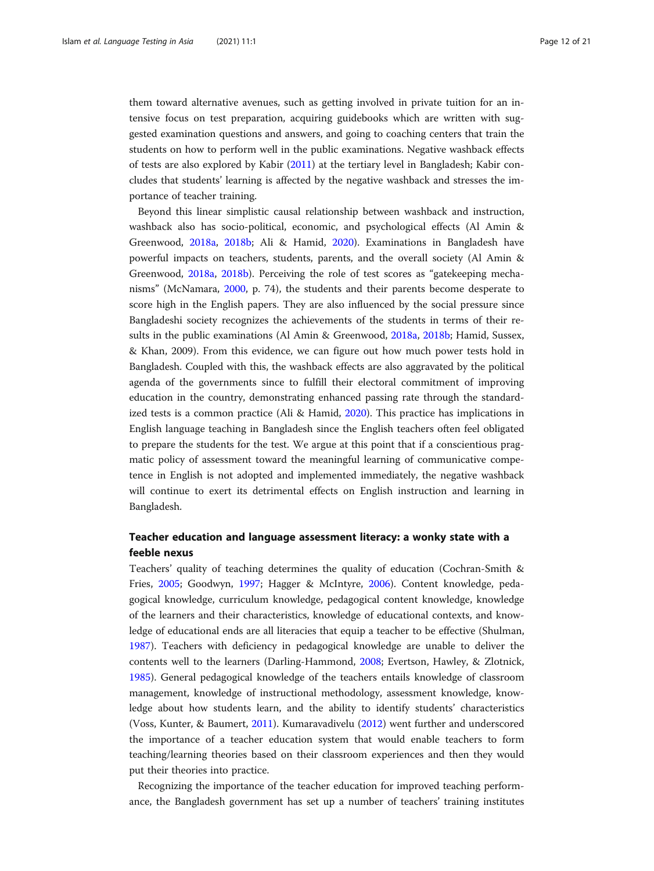them toward alternative avenues, such as getting involved in private tuition for an intensive focus on test preparation, acquiring guidebooks which are written with suggested examination questions and answers, and going to coaching centers that train the students on how to perform well in the public examinations. Negative washback effects of tests are also explored by Kabir ([2011](#page-19-0)) at the tertiary level in Bangladesh; Kabir concludes that students' learning is affected by the negative washback and stresses the importance of teacher training.

Beyond this linear simplistic causal relationship between washback and instruction, washback also has socio-political, economic, and psychological effects (Al Amin & Greenwood, [2018a,](#page-17-0) [2018b](#page-17-0); Ali & Hamid, [2020](#page-17-0)). Examinations in Bangladesh have powerful impacts on teachers, students, parents, and the overall society (Al Amin & Greenwood, [2018a](#page-17-0), [2018b](#page-17-0)). Perceiving the role of test scores as "gatekeeping mechanisms" (McNamara, [2000,](#page-19-0) p. 74), the students and their parents become desperate to score high in the English papers. They are also influenced by the social pressure since Bangladeshi society recognizes the achievements of the students in terms of their results in the public examinations (Al Amin & Greenwood, [2018a](#page-17-0), [2018b](#page-17-0); Hamid, Sussex, & Khan, 2009). From this evidence, we can figure out how much power tests hold in Bangladesh. Coupled with this, the washback effects are also aggravated by the political agenda of the governments since to fulfill their electoral commitment of improving education in the country, demonstrating enhanced passing rate through the standardized tests is a common practice (Ali & Hamid, [2020\)](#page-17-0). This practice has implications in English language teaching in Bangladesh since the English teachers often feel obligated to prepare the students for the test. We argue at this point that if a conscientious pragmatic policy of assessment toward the meaningful learning of communicative competence in English is not adopted and implemented immediately, the negative washback will continue to exert its detrimental effects on English instruction and learning in Bangladesh.

# Teacher education and language assessment literacy: a wonky state with a feeble nexus

Teachers' quality of teaching determines the quality of education (Cochran-Smith & Fries, [2005;](#page-18-0) Goodwyn, [1997](#page-18-0); Hagger & McIntyre, [2006\)](#page-18-0). Content knowledge, pedagogical knowledge, curriculum knowledge, pedagogical content knowledge, knowledge of the learners and their characteristics, knowledge of educational contexts, and knowledge of educational ends are all literacies that equip a teacher to be effective (Shulman, [1987](#page-19-0)). Teachers with deficiency in pedagogical knowledge are unable to deliver the contents well to the learners (Darling-Hammond, [2008](#page-18-0); Evertson, Hawley, & Zlotnick, [1985](#page-18-0)). General pedagogical knowledge of the teachers entails knowledge of classroom management, knowledge of instructional methodology, assessment knowledge, knowledge about how students learn, and the ability to identify students' characteristics (Voss, Kunter, & Baumert, [2011\)](#page-20-0). Kumaravadivelu [\(2012\)](#page-19-0) went further and underscored the importance of a teacher education system that would enable teachers to form teaching/learning theories based on their classroom experiences and then they would put their theories into practice.

Recognizing the importance of the teacher education for improved teaching performance, the Bangladesh government has set up a number of teachers' training institutes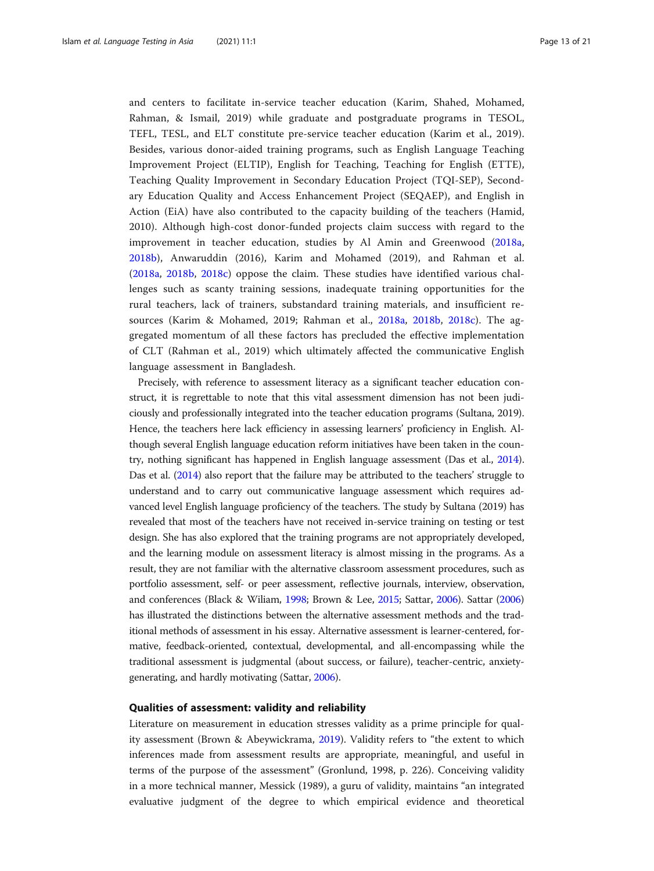and centers to facilitate in-service teacher education (Karim, Shahed, Mohamed, Rahman, & Ismail, 2019) while graduate and postgraduate programs in TESOL, TEFL, TESL, and ELT constitute pre-service teacher education (Karim et al., 2019). Besides, various donor-aided training programs, such as English Language Teaching Improvement Project (ELTIP), English for Teaching, Teaching for English (ETTE), Teaching Quality Improvement in Secondary Education Project (TQI-SEP), Secondary Education Quality and Access Enhancement Project (SEQAEP), and English in Action (EiA) have also contributed to the capacity building of the teachers (Hamid, 2010). Although high-cost donor-funded projects claim success with regard to the improvement in teacher education, studies by Al Amin and Greenwood ([2018a](#page-17-0), [2018b\)](#page-17-0), Anwaruddin (2016), Karim and Mohamed (2019), and Rahman et al. ([2018a](#page-19-0), [2018b,](#page-19-0) [2018c\)](#page-19-0) oppose the claim. These studies have identified various challenges such as scanty training sessions, inadequate training opportunities for the rural teachers, lack of trainers, substandard training materials, and insufficient resources (Karim & Mohamed, 2019; Rahman et al., [2018a](#page-19-0), [2018b](#page-19-0), [2018c\)](#page-19-0). The aggregated momentum of all these factors has precluded the effective implementation of CLT (Rahman et al., 2019) which ultimately affected the communicative English language assessment in Bangladesh.

Precisely, with reference to assessment literacy as a significant teacher education construct, it is regrettable to note that this vital assessment dimension has not been judiciously and professionally integrated into the teacher education programs (Sultana, 2019). Hence, the teachers here lack efficiency in assessing learners' proficiency in English. Although several English language education reform initiatives have been taken in the country, nothing significant has happened in English language assessment (Das et al., [2014](#page-18-0)). Das et al. [\(2014\)](#page-18-0) also report that the failure may be attributed to the teachers' struggle to understand and to carry out communicative language assessment which requires advanced level English language proficiency of the teachers. The study by Sultana (2019) has revealed that most of the teachers have not received in-service training on testing or test design. She has also explored that the training programs are not appropriately developed, and the learning module on assessment literacy is almost missing in the programs. As a result, they are not familiar with the alternative classroom assessment procedures, such as portfolio assessment, self- or peer assessment, reflective journals, interview, observation, and conferences (Black & Wiliam, [1998](#page-18-0); Brown & Lee, [2015;](#page-18-0) Sattar, [2006\)](#page-19-0). Sattar [\(2006](#page-19-0)) has illustrated the distinctions between the alternative assessment methods and the traditional methods of assessment in his essay. Alternative assessment is learner-centered, formative, feedback-oriented, contextual, developmental, and all-encompassing while the traditional assessment is judgmental (about success, or failure), teacher-centric, anxietygenerating, and hardly motivating (Sattar, [2006](#page-19-0)).

# Qualities of assessment: validity and reliability

Literature on measurement in education stresses validity as a prime principle for quality assessment (Brown & Abeywickrama, [2019\)](#page-18-0). Validity refers to "the extent to which inferences made from assessment results are appropriate, meaningful, and useful in terms of the purpose of the assessment" (Gronlund, 1998, p. 226). Conceiving validity in a more technical manner, Messick (1989), a guru of validity, maintains "an integrated evaluative judgment of the degree to which empirical evidence and theoretical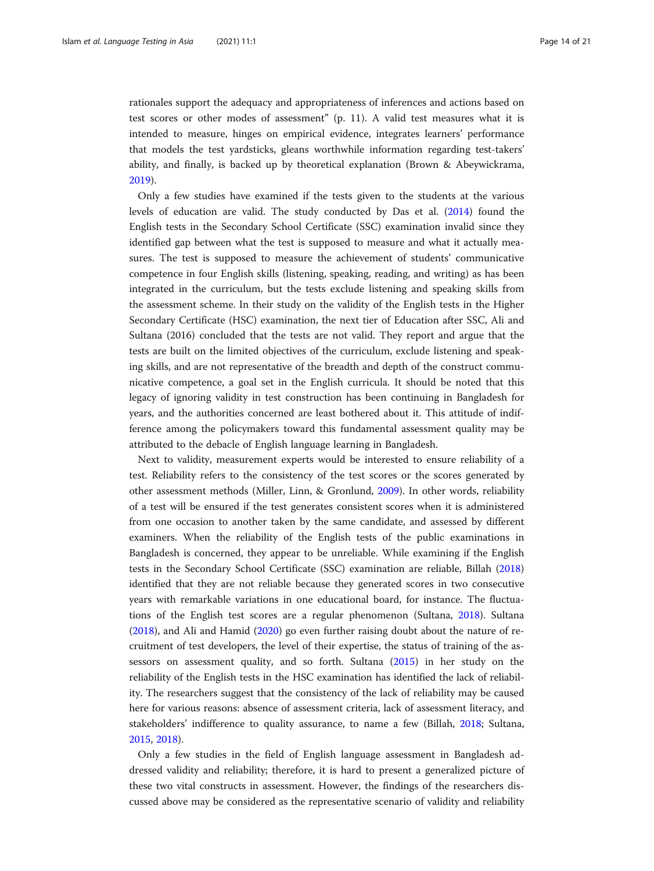rationales support the adequacy and appropriateness of inferences and actions based on test scores or other modes of assessment" (p. 11). A valid test measures what it is intended to measure, hinges on empirical evidence, integrates learners' performance that models the test yardsticks, gleans worthwhile information regarding test-takers' ability, and finally, is backed up by theoretical explanation (Brown & Abeywickrama, [2019](#page-18-0)).

Only a few studies have examined if the tests given to the students at the various levels of education are valid. The study conducted by Das et al. ([2014\)](#page-18-0) found the English tests in the Secondary School Certificate (SSC) examination invalid since they identified gap between what the test is supposed to measure and what it actually measures. The test is supposed to measure the achievement of students' communicative competence in four English skills (listening, speaking, reading, and writing) as has been integrated in the curriculum, but the tests exclude listening and speaking skills from the assessment scheme. In their study on the validity of the English tests in the Higher Secondary Certificate (HSC) examination, the next tier of Education after SSC, Ali and Sultana (2016) concluded that the tests are not valid. They report and argue that the tests are built on the limited objectives of the curriculum, exclude listening and speaking skills, and are not representative of the breadth and depth of the construct communicative competence, a goal set in the English curricula. It should be noted that this legacy of ignoring validity in test construction has been continuing in Bangladesh for years, and the authorities concerned are least bothered about it. This attitude of indifference among the policymakers toward this fundamental assessment quality may be attributed to the debacle of English language learning in Bangladesh.

Next to validity, measurement experts would be interested to ensure reliability of a test. Reliability refers to the consistency of the test scores or the scores generated by other assessment methods (Miller, Linn, & Gronlund, [2009\)](#page-19-0). In other words, reliability of a test will be ensured if the test generates consistent scores when it is administered from one occasion to another taken by the same candidate, and assessed by different examiners. When the reliability of the English tests of the public examinations in Bangladesh is concerned, they appear to be unreliable. While examining if the English tests in the Secondary School Certificate (SSC) examination are reliable, Billah ([2018](#page-18-0)) identified that they are not reliable because they generated scores in two consecutive years with remarkable variations in one educational board, for instance. The fluctuations of the English test scores are a regular phenomenon (Sultana, [2018](#page-20-0)). Sultana ([2018](#page-20-0)), and Ali and Hamid [\(2020\)](#page-17-0) go even further raising doubt about the nature of recruitment of test developers, the level of their expertise, the status of training of the assessors on assessment quality, and so forth. Sultana [\(2015](#page-20-0)) in her study on the reliability of the English tests in the HSC examination has identified the lack of reliability. The researchers suggest that the consistency of the lack of reliability may be caused here for various reasons: absence of assessment criteria, lack of assessment literacy, and stakeholders' indifference to quality assurance, to name a few (Billah, [2018;](#page-18-0) Sultana, [2015](#page-20-0), [2018\)](#page-20-0).

Only a few studies in the field of English language assessment in Bangladesh addressed validity and reliability; therefore, it is hard to present a generalized picture of these two vital constructs in assessment. However, the findings of the researchers discussed above may be considered as the representative scenario of validity and reliability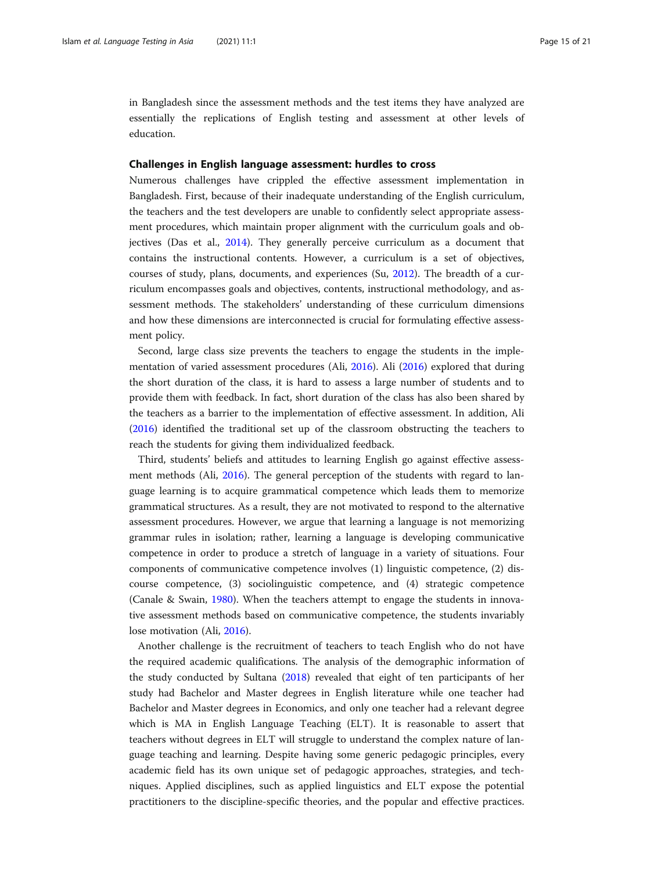in Bangladesh since the assessment methods and the test items they have analyzed are essentially the replications of English testing and assessment at other levels of education.

# Challenges in English language assessment: hurdles to cross

Numerous challenges have crippled the effective assessment implementation in Bangladesh. First, because of their inadequate understanding of the English curriculum, the teachers and the test developers are unable to confidently select appropriate assessment procedures, which maintain proper alignment with the curriculum goals and objectives (Das et al., [2014\)](#page-18-0). They generally perceive curriculum as a document that contains the instructional contents. However, a curriculum is a set of objectives, courses of study, plans, documents, and experiences (Su, [2012](#page-20-0)). The breadth of a curriculum encompasses goals and objectives, contents, instructional methodology, and assessment methods. The stakeholders' understanding of these curriculum dimensions and how these dimensions are interconnected is crucial for formulating effective assessment policy.

Second, large class size prevents the teachers to engage the students in the implementation of varied assessment procedures (Ali, [2016](#page-17-0)). Ali ([2016](#page-17-0)) explored that during the short duration of the class, it is hard to assess a large number of students and to provide them with feedback. In fact, short duration of the class has also been shared by the teachers as a barrier to the implementation of effective assessment. In addition, Ali ([2016](#page-17-0)) identified the traditional set up of the classroom obstructing the teachers to reach the students for giving them individualized feedback.

Third, students' beliefs and attitudes to learning English go against effective assessment methods (Ali, [2016](#page-17-0)). The general perception of the students with regard to language learning is to acquire grammatical competence which leads them to memorize grammatical structures. As a result, they are not motivated to respond to the alternative assessment procedures. However, we argue that learning a language is not memorizing grammar rules in isolation; rather, learning a language is developing communicative competence in order to produce a stretch of language in a variety of situations. Four components of communicative competence involves (1) linguistic competence, (2) discourse competence, (3) sociolinguistic competence, and (4) strategic competence (Canale & Swain, [1980](#page-18-0)). When the teachers attempt to engage the students in innovative assessment methods based on communicative competence, the students invariably lose motivation (Ali, [2016](#page-17-0)).

Another challenge is the recruitment of teachers to teach English who do not have the required academic qualifications. The analysis of the demographic information of the study conducted by Sultana ([2018](#page-20-0)) revealed that eight of ten participants of her study had Bachelor and Master degrees in English literature while one teacher had Bachelor and Master degrees in Economics, and only one teacher had a relevant degree which is MA in English Language Teaching (ELT). It is reasonable to assert that teachers without degrees in ELT will struggle to understand the complex nature of language teaching and learning. Despite having some generic pedagogic principles, every academic field has its own unique set of pedagogic approaches, strategies, and techniques. Applied disciplines, such as applied linguistics and ELT expose the potential practitioners to the discipline-specific theories, and the popular and effective practices.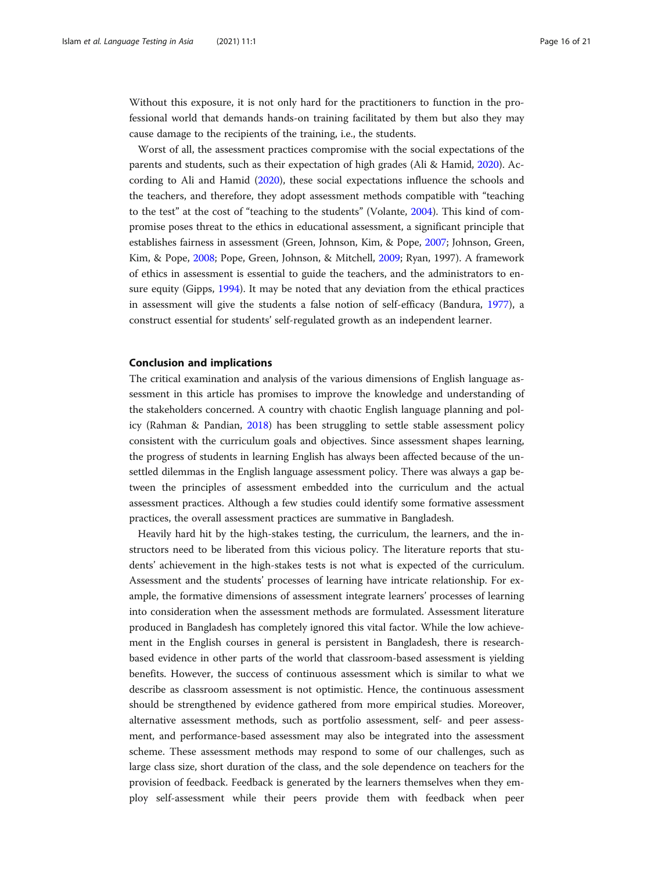Without this exposure, it is not only hard for the practitioners to function in the professional world that demands hands-on training facilitated by them but also they may cause damage to the recipients of the training, i.e., the students.

Worst of all, the assessment practices compromise with the social expectations of the parents and students, such as their expectation of high grades (Ali & Hamid, [2020](#page-17-0)). According to Ali and Hamid ([2020\)](#page-17-0), these social expectations influence the schools and the teachers, and therefore, they adopt assessment methods compatible with "teaching to the test" at the cost of "teaching to the students" (Volante, [2004\)](#page-20-0). This kind of compromise poses threat to the ethics in educational assessment, a significant principle that establishes fairness in assessment (Green, Johnson, Kim, & Pope, [2007;](#page-18-0) Johnson, Green, Kim, & Pope, [2008;](#page-18-0) Pope, Green, Johnson, & Mitchell, [2009;](#page-19-0) Ryan, 1997). A framework of ethics in assessment is essential to guide the teachers, and the administrators to ensure equity (Gipps, [1994](#page-18-0)). It may be noted that any deviation from the ethical practices in assessment will give the students a false notion of self-efficacy (Bandura, [1977\)](#page-18-0), a construct essential for students' self-regulated growth as an independent learner.

# Conclusion and implications

The critical examination and analysis of the various dimensions of English language assessment in this article has promises to improve the knowledge and understanding of the stakeholders concerned. A country with chaotic English language planning and policy (Rahman & Pandian, [2018\)](#page-19-0) has been struggling to settle stable assessment policy consistent with the curriculum goals and objectives. Since assessment shapes learning, the progress of students in learning English has always been affected because of the unsettled dilemmas in the English language assessment policy. There was always a gap between the principles of assessment embedded into the curriculum and the actual assessment practices. Although a few studies could identify some formative assessment practices, the overall assessment practices are summative in Bangladesh.

Heavily hard hit by the high-stakes testing, the curriculum, the learners, and the instructors need to be liberated from this vicious policy. The literature reports that students' achievement in the high-stakes tests is not what is expected of the curriculum. Assessment and the students' processes of learning have intricate relationship. For example, the formative dimensions of assessment integrate learners' processes of learning into consideration when the assessment methods are formulated. Assessment literature produced in Bangladesh has completely ignored this vital factor. While the low achievement in the English courses in general is persistent in Bangladesh, there is researchbased evidence in other parts of the world that classroom-based assessment is yielding benefits. However, the success of continuous assessment which is similar to what we describe as classroom assessment is not optimistic. Hence, the continuous assessment should be strengthened by evidence gathered from more empirical studies. Moreover, alternative assessment methods, such as portfolio assessment, self- and peer assessment, and performance-based assessment may also be integrated into the assessment scheme. These assessment methods may respond to some of our challenges, such as large class size, short duration of the class, and the sole dependence on teachers for the provision of feedback. Feedback is generated by the learners themselves when they employ self-assessment while their peers provide them with feedback when peer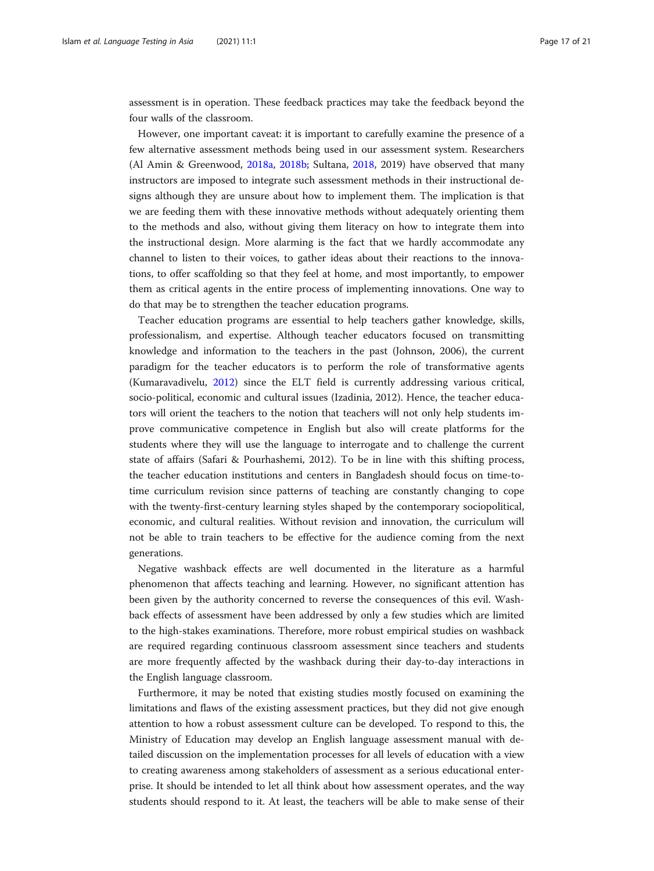assessment is in operation. These feedback practices may take the feedback beyond the four walls of the classroom.

However, one important caveat: it is important to carefully examine the presence of a few alternative assessment methods being used in our assessment system. Researchers (Al Amin & Greenwood, [2018a,](#page-17-0) [2018b](#page-17-0); Sultana, [2018](#page-20-0), 2019) have observed that many instructors are imposed to integrate such assessment methods in their instructional designs although they are unsure about how to implement them. The implication is that we are feeding them with these innovative methods without adequately orienting them to the methods and also, without giving them literacy on how to integrate them into the instructional design. More alarming is the fact that we hardly accommodate any channel to listen to their voices, to gather ideas about their reactions to the innovations, to offer scaffolding so that they feel at home, and most importantly, to empower them as critical agents in the entire process of implementing innovations. One way to do that may be to strengthen the teacher education programs.

Teacher education programs are essential to help teachers gather knowledge, skills, professionalism, and expertise. Although teacher educators focused on transmitting knowledge and information to the teachers in the past (Johnson, 2006), the current paradigm for the teacher educators is to perform the role of transformative agents (Kumaravadivelu, [2012\)](#page-19-0) since the ELT field is currently addressing various critical, socio-political, economic and cultural issues (Izadinia, 2012). Hence, the teacher educators will orient the teachers to the notion that teachers will not only help students improve communicative competence in English but also will create platforms for the students where they will use the language to interrogate and to challenge the current state of affairs (Safari & Pourhashemi, 2012). To be in line with this shifting process, the teacher education institutions and centers in Bangladesh should focus on time-totime curriculum revision since patterns of teaching are constantly changing to cope with the twenty-first-century learning styles shaped by the contemporary sociopolitical, economic, and cultural realities. Without revision and innovation, the curriculum will not be able to train teachers to be effective for the audience coming from the next generations.

Negative washback effects are well documented in the literature as a harmful phenomenon that affects teaching and learning. However, no significant attention has been given by the authority concerned to reverse the consequences of this evil. Washback effects of assessment have been addressed by only a few studies which are limited to the high-stakes examinations. Therefore, more robust empirical studies on washback are required regarding continuous classroom assessment since teachers and students are more frequently affected by the washback during their day-to-day interactions in the English language classroom.

Furthermore, it may be noted that existing studies mostly focused on examining the limitations and flaws of the existing assessment practices, but they did not give enough attention to how a robust assessment culture can be developed. To respond to this, the Ministry of Education may develop an English language assessment manual with detailed discussion on the implementation processes for all levels of education with a view to creating awareness among stakeholders of assessment as a serious educational enterprise. It should be intended to let all think about how assessment operates, and the way students should respond to it. At least, the teachers will be able to make sense of their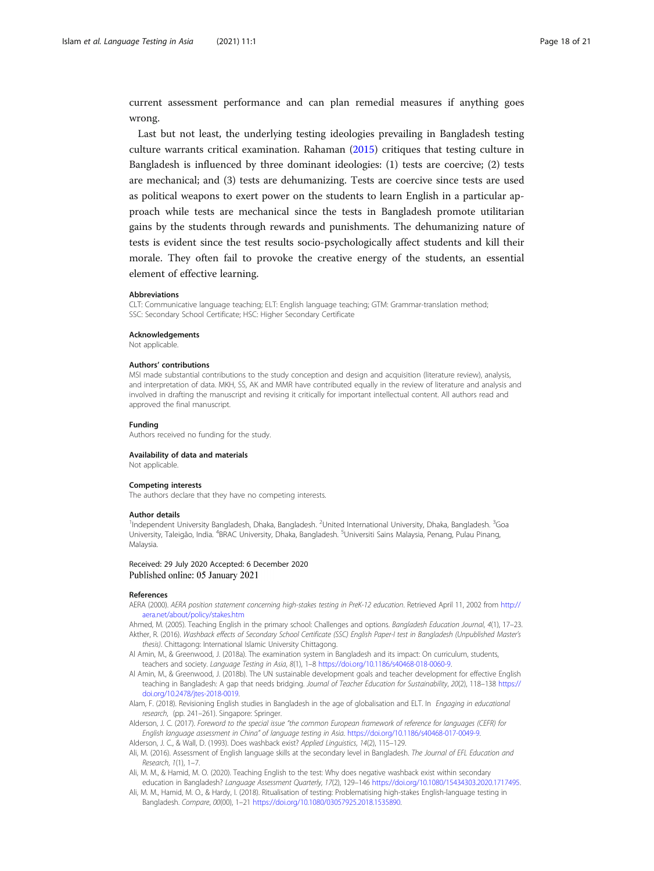<span id="page-17-0"></span>current assessment performance and can plan remedial measures if anything goes wrong.

Last but not least, the underlying testing ideologies prevailing in Bangladesh testing culture warrants critical examination. Rahaman ([2015](#page-19-0)) critiques that testing culture in Bangladesh is influenced by three dominant ideologies: (1) tests are coercive; (2) tests are mechanical; and (3) tests are dehumanizing. Tests are coercive since tests are used as political weapons to exert power on the students to learn English in a particular approach while tests are mechanical since the tests in Bangladesh promote utilitarian gains by the students through rewards and punishments. The dehumanizing nature of tests is evident since the test results socio-psychologically affect students and kill their morale. They often fail to provoke the creative energy of the students, an essential element of effective learning.

#### Abbreviations

CLT: Communicative language teaching; ELT: English language teaching; GTM: Grammar-translation method; SSC: Secondary School Certificate; HSC: Higher Secondary Certificate

#### Acknowledgements

Not applicable.

#### Authors' contributions

MSI made substantial contributions to the study conception and design and acquisition (literature review), analysis, and interpretation of data. MKH, SS, AK and MMR have contributed equally in the review of literature and analysis and involved in drafting the manuscript and revising it critically for important intellectual content. All authors read and approved the final manuscript.

#### Funding

Authors received no funding for the study.

#### Availability of data and materials

Not applicable.

#### Competing interests

The authors declare that they have no competing interests.

#### Author details

<sup>1</sup>Independent University Bangladesh, Dhaka, Bangladesh. <sup>2</sup>United International University, Dhaka, Bangladesh. <sup>3</sup>Goa University, Taleigão, India. <sup>4</sup>BRAC University, Dhaka, Bangladesh. <sup>5</sup>Universiti Sains Malaysia, Penang, Pulau Pinang, Malaysia.

### Received: 29 July 2020 Accepted: 6 December 2020 Published online: 05 January 2021

### References

AERA (2000). AERA position statement concerning high-stakes testing in PreK-12 education. Retrieved April 11, 2002 from [http://](http://aera.net/about/policy/stakes.htm) [aera.net/about/policy/stakes.htm](http://aera.net/about/policy/stakes.htm)

Ahmed, M. (2005). Teaching English in the primary school: Challenges and options. Bangladesh Education Journal, 4(1), 17–23. Akther, R. (2016). Washback effects of Secondary School Certificate (SSC) English Paper-I test in Bangladesh (Unpublished Master's thesis). Chittagong: International Islamic University Chittagong.

- Al Amin, M., & Greenwood, J. (2018a). The examination system in Bangladesh and its impact: On curriculum, students, teachers and society. Language Testing in Asia, 8(1), 1–8 [https://doi.org/10.1186/s40468-018-0060-9.](https://doi.org/10.1186/s40468-018-0060-9)
- Al Amin, M., & Greenwood, J. (2018b). The UN sustainable development goals and teacher development for effective English teaching in Bangladesh: A gap that needs bridging. Journal of Teacher Education for Sustainability, 20(2), 118–138 [https://](https://doi.org/10.2478/jtes-2018-0019) [doi.org/10.2478/jtes-2018-0019](https://doi.org/10.2478/jtes-2018-0019).
- Alam, F. (2018). Revisioning English studies in Bangladesh in the age of globalisation and ELT. In Engaging in educational research, (pp. 241–261). Singapore: Springer.
- Alderson, J. C. (2017). Foreword to the special issue "the common European framework of reference for languages (CEFR) for English language assessment in China" of language testing in Asia. [https://doi.org/10.1186/s40468-017-0049-9.](https://doi.org/10.1186/s40468-017-0049-9)

Alderson, J. C., & Wall, D. (1993). Does washback exist? Applied Linguistics, 14(2), 115–129.

- Ali, M. (2016). Assessment of English language skills at the secondary level in Bangladesh. The Journal of EFL Education and Research, 1(1), 1–7.
- Ali, M. M., & Hamid, M. O. (2020). Teaching English to the test: Why does negative washback exist within secondary education in Bangladesh? Language Assessment Quarterly, 17(2), 129-146 <https://doi.org/10.1080/15434303.2020.1717495>.
- Ali, M. M., Hamid, M. O., & Hardy, I. (2018). Ritualisation of testing: Problematising high-stakes English-language testing in Bangladesh. Compare, 00(00), 1–21 [https://doi.org/10.1080/03057925.2018.1535890.](https://doi.org/10.1080/03057925.2018.1535890)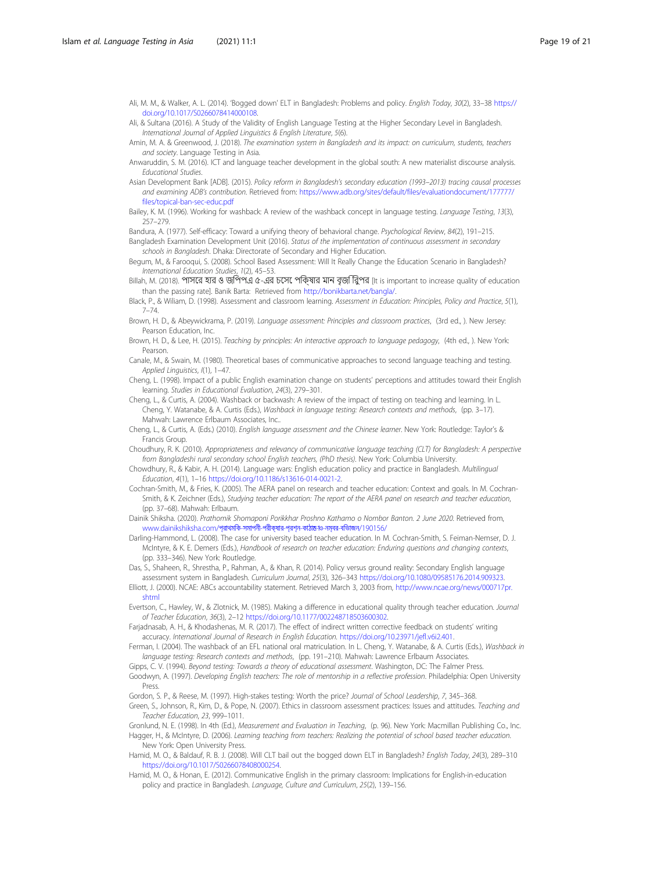- <span id="page-18-0"></span>Ali, M. M., & Walker, A. L. (2014). 'Bogged down' ELT in Bangladesh: Problems and policy. English Today, 30(2), 33–38 [https://](https://doi.org/10.1017/S0266078414000108) [doi.org/10.1017/S0266078414000108](https://doi.org/10.1017/S0266078414000108).
- Ali, & Sultana (2016). A Study of the Validity of English Language Testing at the Higher Secondary Level in Bangladesh. International Journal of Applied Linguistics & English Literature, 5(6).
- Amin, M. A. & Greenwood, J. (2018). The examination system in Bangladesh and its impact: on curriculum, students, teachers and society. Language Testing in Asia.
- Anwaruddin, S. M. (2016). ICT and language teacher development in the global south: A new materialist discourse analysis. Educational Studies.
- Asian Development Bank [ADB]. (2015). Policy reform in Bangladesh's secondary education (1993–2013) tracing causal processes and examining ADB's contribution. Retrieved from: [https://www.adb.org/sites/default/files/evaluationdocument/177777/](https://www.adb.org/sites/default/files/evaluationdocument/177777/files/topical-ban-sec-educ.pdf) [files/topical-ban-sec-educ.pdf](https://www.adb.org/sites/default/files/evaluationdocument/177777/files/topical-ban-sec-educ.pdf)
- Bailey, K. M. (1996). Working for washback: A review of the washback concept in language testing. Language Testing, 13(3), 257–279.
- Bandura, A. (1977). Self-efficacy: Toward a unifying theory of behavioral change. Psychological Review, 84(2), 191–215. Bangladesh Examination Development Unit (2016). Status of the implementation of continuous assessment in secondary
- schools in Bangladesh. Dhaka: Directorate of Secondary and Higher Education.
- Begum, M., & Farooqui, S. (2008). School Based Assessment: Will It Really Change the Education Scenario in Bangladesh? International Education Studies, 1(2), 45-53.
- Billah, M. (2018). পাসের হার ও জিপপএ ৫-এর চেসে পিক্ষার মান বৃজি িরুপর [It is important to increase quality of education than the passing rate]. Banik Barta: Retrieved from [http://bonikbarta.net/bangla/.](http://bonikbarta.net/bangla/)
- Black, P., & Wiliam, D. (1998). Assessment and classroom learning. Assessment in Education: Principles, Policy and Practice, 5(1), 7–74.
- Brown, H. D., & Abeywickrama, P. (2019). Language assessment: Principles and classroom practices, (3rd ed., ). New Jersey: Pearson Education, Inc.
- Brown, H. D., & Lee, H. (2015). Teaching by principles: An interactive approach to language pedagogy, (4th ed., ). New York: Pearson.
- Canale, M., & Swain, M. (1980). Theoretical bases of communicative approaches to second language teaching and testing. Applied Linguistics, I(1), 1–47.
- Cheng, L. (1998). Impact of a public English examination change on students' perceptions and attitudes toward their English learning. Studies in Educational Evaluation, 24(3), 279–301.
- Cheng, L., & Curtis, A. (2004). Washback or backwash: A review of the impact of testing on teaching and learning. In L. Cheng, Y. Watanabe, & A. Curtis (Eds.), Washback in language testing: Research contexts and methods, (pp. 3–17). Mahwah: Lawrence Erlbaum Associates, Inc..
- Cheng, L., & Curtis, A. (Eds.) (2010). English language assessment and the Chinese learner. New York: Routledge: Taylor's & Francis Group.
- Choudhury, R. K. (2010). Appropriateness and relevancy of communicative language teaching (CLT) for Bangladesh: A perspective from Bangladeshi rural secondary school English teachers, (PhD thesis). New York: Columbia University.
- Chowdhury, R., & Kabir, A. H. (2014). Language wars: English education policy and practice in Bangladesh. Multilingual Education, 4(1), 1–16 <https://doi.org/10.1186/s13616-014-0021-2>.
- Cochran-Smith, M., & Fries, K. (2005). The AERA panel on research and teacher education: Context and goals. In M. Cochran-Smith, & K. Zeichner (Eds.), Studying teacher education: The report of the AERA panel on research and teacher education, (pp. 37–68). Mahwah: Erlbaum.

Dainik Shiksha. (2020). Prathomik Shomaponi Porikkhar Proshno Kathamo o Nombor Banton. 2 June 2020. Retrieved from, [www.dainikshiksha.com/](http://www.dainikshiksha.com/%E0%A6%AA%E0%A7%8D%E0%A6%B0%E0%A6%BE%E0%A6%A5%E0%A6%AE%E0%A6%BF%E0%A6%95-%E0%A6%B8%E0%A6%AE%E0%A6%BE%E0%A6%AA%E0%A6%A8%E0%A7%80-%E0%A6%AA%E0%A6%B0%E0%A7%80%E0%A6%95%E0%A7%8D%E0%A6%B7%E0%A6%BE%E0%A6%B0-%E0%A6%AA%E0%A7%8D%E0%A6%B0%E0%A6%B6%E0%A7%8D%E0%A6%A8-%E0%A6%95%E0%A6%BE%E0%A6%A0%E0%A6%BE%E0%A6%AE%E0%A7%8B-%E0%A6%93-%E0%A6%A8%E0%A6%AE%E0%A7%8D%E0%A6%AC%E0%A6%B0-%E0%A6%AC%E0%A6%BF%E0%A6%AD%E0%A6%BE%E0%A6%9C%E0%A6%A8/190156/)প্রাথমকি-সমাপনী-পরীক্ষার-প্রশ্ন-কাঠাম-াও-নম্বর-বভিাজন/190156,

Darling-Hammond, L. (2008). The case for university based teacher education. In M. Cochran-Smith, S. Feiman-Nemser, D. J. McIntyre, & K. E. Demers (Eds.), Handbook of research on teacher education: Enduring questions and changing contexts, (pp. 333–346). New York: Routledge.

Das, S., Shaheen, R., Shrestha, P., Rahman, A., & Khan, R. (2014). Policy versus ground reality: Secondary English language assessment system in Bangladesh. Curriculum Journal, 25(3), 326–343 [https://doi.org/10.1080/09585176.2014.909323.](https://doi.org/10.1080/09585176.2014.909323)

- Elliott, J. (2000). NCAE: ABCs accountability statement. Retrieved March 3, 2003 from, [http://www.ncae.org/news/000717pr.](http://www.ncae.org/news/000717pr.shtml) [shtml](http://www.ncae.org/news/000717pr.shtml)
- Evertson, C., Hawley, W., & Zlotnick, M. (1985). Making a difference in educational quality through teacher education. Journal of Teacher Education, 36(3), 2–12 [https://doi.org/10.1177/002248718503600302.](https://doi.org/10.1177/002248718503600302)
- Farjadnasab, A. H., & Khodashenas, M. R. (2017). The effect of indirect written corrective feedback on students' writing accuracy. International Journal of Research in English Education. [https://doi.org/10.23971/jefl.v6i2.401.](https://doi.org/10.23971/jefl.v6i2.401)
- Ferman, I. (2004). The washback of an EFL national oral matriculation. In L. Cheng, Y. Watanabe, & A. Curtis (Eds.), Washback in language testing: Research contexts and methods, (pp. 191–210). Mahwah: Lawrence Erlbaum Associates.
- Gipps, C. V. (1994). Beyond testing: Towards a theory of educational assessment. Washington, DC: The Falmer Press. Goodwyn, A. (1997). Developing English teachers: The role of mentorship in a reflective profession. Philadelphia: Open University
- Press.
- Gordon, S. P., & Reese, M. (1997). High-stakes testing: Worth the price? Journal of School Leadership, 7, 345–368.
- Green, S., Johnson, R., Kim, D., & Pope, N. (2007). Ethics in classroom assessment practices: Issues and attitudes. Teaching and Teacher Education, 23, 999–1011.
- Gronlund, N. E. (1998). In 4th (Ed.), Measurement and Evaluation in Teaching, (p. 96). New York: Macmillan Publishing Co., Inc. Hagger, H., & McIntyre, D. (2006). Learning teaching from teachers: Realizing the potential of school based teacher education. New York: Open University Press.
- Hamid, M. O., & Baldauf, R. B. J. (2008). Will CLT bail out the bogged down ELT in Bangladesh? English Today, 24(3), 289–310 [https://doi.org/10.1017/S0266078408000254.](https://doi.org/10.1017/S0266078408000254)
- Hamid, M. O., & Honan, E. (2012). Communicative English in the primary classroom: Implications for English-in-education policy and practice in Bangladesh. Language, Culture and Curriculum, 25(2), 139–156.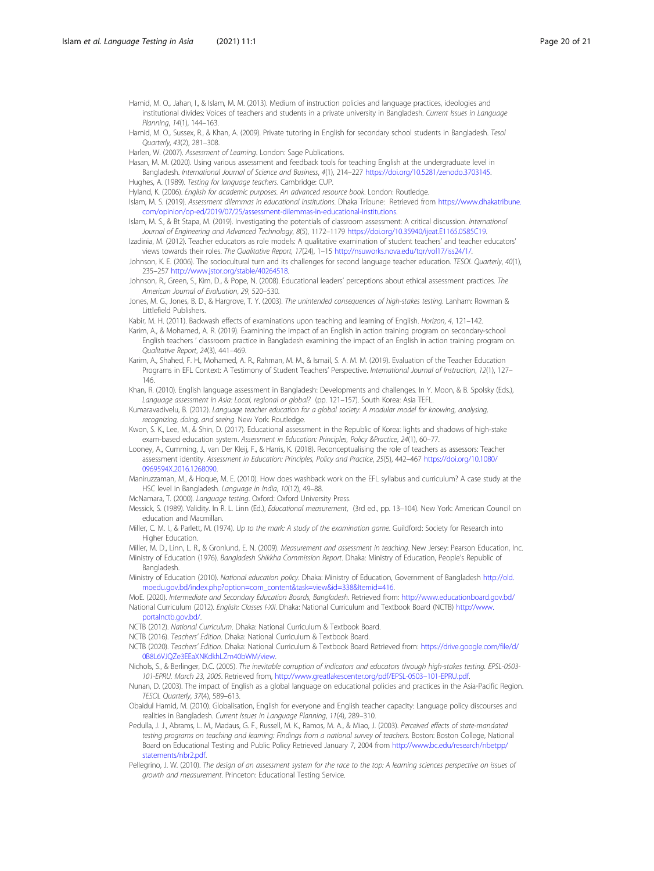<span id="page-19-0"></span>Hamid, M. O., Jahan, I., & Islam, M. M. (2013). Medium of instruction policies and language practices, ideologies and institutional divides: Voices of teachers and students in a private university in Bangladesh. Current Issues in Language Planning, 14(1), 144–163.

Hamid, M. O., Sussex, R., & Khan, A. (2009). Private tutoring in English for secondary school students in Bangladesh. Tesol Quarterly, 43(2), 281–308.

Harlen, W. (2007). Assessment of Learning. London: Sage Publications.

Hasan, M. M. (2020). Using various assessment and feedback tools for teaching English at the undergraduate level in Bangladesh. International Journal of Science and Business, 4(1), 214–227 [https://doi.org/10.5281/zenodo.3703145.](https://doi.org/10.5281/zenodo.3703145)

Hughes, A. (1989). Testing for language teachers. Cambridge: CUP.

Hyland, K. (2006). English for academic purposes. An advanced resource book. London: Routledge.

Islam, M. S. (2019). Assessment dilemmas in educational institutions. Dhaka Tribune: Retrieved from [https://www.dhakatribune.](https://www.dhakatribune.com/opinion/op-ed/2019/07/25/assessment-dilemmas-in-educational-institutions) [com/opinion/op-ed/2019/07/25/assessment-dilemmas-in-educational-institutions.](https://www.dhakatribune.com/opinion/op-ed/2019/07/25/assessment-dilemmas-in-educational-institutions)

- Islam, M. S., & Bt Stapa, M. (2019). Investigating the potentials of classroom assessment: A critical discussion. International Journal of Engineering and Advanced Technology, 8(5), 1172–1179 [https://doi.org/10.35940/ijeat.E1165.0585C19.](https://doi.org/10.35940/ijeat.E1165.0585C19)
- Izadinia, M. (2012). Teacher educators as role models: A qualitative examination of student teachers' and teacher educators' views towards their roles. The Qualitative Report, 17(24), 1–15 <http://nsuworks.nova.edu/tqr/vol17/iss24/1/>.
- Johnson, K. E. (2006). The sociocultural turn and its challenges for second language teacher education. TESOL Quarterly, 40(1), 235–257 <http://www.jstor.org/stable/40264518>.

Johnson, R., Green, S., Kim, D., & Pope, N. (2008). Educational leaders' perceptions about ethical assessment practices. The American Journal of Evaluation, 29, 520–530.

Jones, M. G., Jones, B. D., & Hargrove, T. Y. (2003). The unintended consequences of high-stakes testing. Lanham: Rowman & Littlefield Publishers.

Kabir, M. H. (2011). Backwash effects of examinations upon teaching and learning of English. Horizon, 4, 121-142.

Karim, A., & Mohamed, A. R. (2019). Examining the impact of an English in action training program on secondary-school English teachers ' classroom practice in Bangladesh examining the impact of an English in action training program on. Qualitative Report, 24(3), 441–469.

Karim, A., Shahed, F. H., Mohamed, A. R., Rahman, M. M., & Ismail, S. A. M. M. (2019). Evaluation of the Teacher Education Programs in EFL Context: A Testimony of Student Teachers' Perspective. International Journal of Instruction, 12(1), 127– 146.

Khan, R. (2010). English language assessment in Bangladesh: Developments and challenges. In Y. Moon, & B. Spolsky (Eds.), Language assessment in Asia: Local, regional or global? (pp. 121–157). South Korea: Asia TEFL.

Kumaravadivelu, B. (2012). Language teacher education for a global society: A modular model for knowing, analysing, recognizing, doing, and seeing. New York: Routledge.

Kwon, S. K., Lee, M., & Shin, D. (2017). Educational assessment in the Republic of Korea: lights and shadows of high-stake exam-based education system. Assessment in Education: Principles, Policy &Practice, 24(1), 60–77.

Looney, A., Cumming, J., van Der Kleij, F., & Harris, K. (2018). Reconceptualising the role of teachers as assessors: Teacher assessment identity. Assessment in Education: Principles, Policy and Practice, 25(5), 442–467 [https://doi.org/10.1080/](https://doi.org/10.1080/0969594X.2016.1268090) [0969594X.2016.1268090](https://doi.org/10.1080/0969594X.2016.1268090).

Maniruzzaman, M., & Hoque, M. E. (2010). How does washback work on the EFL syllabus and curriculum? A case study at the HSC level in Bangladesh. Language in India, 10(12), 49–88.

McNamara, T. (2000). Language testing. Oxford: Oxford University Press.

Messick, S. (1989). Validity. In R. L. Linn (Ed.), Educational measurement, (3rd ed., pp. 13–104). New York: American Council on education and Macmillan.

Miller, C. M. I., & Parlett, M. (1974). Up to the mark: A study of the examination game. Guildford: Society for Research into Higher Education.

Miller, M. D., Linn, L. R., & Gronlund, E. N. (2009). Measurement and assessment in teaching. New Jersey: Pearson Education, Inc. Ministry of Education (1976). Bangladesh Shikkha Commission Report. Dhaka: Ministry of Education, People's Republic of

**Bangladesh** Ministry of Education (2010). National education policy. Dhaka: Ministry of Education, Government of Bangladesh [http://old.](http://old.moedu.gov.bd/index.php?option=com_content&task=view&id=338&Itemid=416)

[moedu.gov.bd/index.php?option=com\\_content&task=view&id=338&Itemid=416.](http://old.moedu.gov.bd/index.php?option=com_content&task=view&id=338&Itemid=416) MoE. (2020). Intermediate and Secondary Education Boards, Bangladesh. Retrieved from: <http://www.educationboard.gov.bd/>

National Curriculum (2012). English: Classes I-XII. Dhaka: National Curriculum and Textbook Board (NCTB) [http://www.](http://www.portalnctb.gov.bd/) [portalnctb.gov.bd/](http://www.portalnctb.gov.bd/).

NCTB (2012). National Curriculum. Dhaka: National Curriculum & Textbook Board.

NCTB (2016). Teachers' Edition. Dhaka: National Curriculum & Textbook Board.

NCTB (2020). Teachers' Edition. Dhaka: National Curriculum & Textbook Board Retrieved from: [https://drive.google.com/file/d/](https://drive.google.com/file/d/0B8L6VJQZe3EEaXNKdkhLZm40bWM/view) [0B8L6VJQZe3EEaXNKdkhLZm40bWM/view.](https://drive.google.com/file/d/0B8L6VJQZe3EEaXNKdkhLZm40bWM/view)

Nichols, S., & Berlinger, D.C. (2005). The inevitable corruption of indicators and educators through high-stakes testing. EPSL-0503- 101-EPRU. March 23, 2005. Retrieved from, [http://www.greatlakescenter.org/pdf/EPSL-0503](http://www.greatlakescenter.org/pdf/EPSL-0503%E2%80%93101-EPRU.pdf)–101-EPRU.pdf.

- Nunan, D. (2003). The impact of English as a global language on educational policies and practices in the Asia‐Pacific Region. TESOL Quarterly, 37(4), 589–613.
- Obaidul Hamid, M. (2010). Globalisation, English for everyone and English teacher capacity: Language policy discourses and realities in Bangladesh. Current Issues in Language Planning, 11(4), 289–310.
- Pedulla, J. J., Abrams, L. M., Madaus, G. F., Russell, M. K., Ramos, M. A., & Miao, J. (2003). Perceived effects of state-mandated testing programs on teaching and learning: Findings from a national survey of teachers. Boston: Boston College, National Board on Educational Testing and Public Policy Retrieved January 7, 2004 from [http://www.bc.edu/research/nbetpp/](http://www.bc.edu/research/nbetpp/statements/nbr2.pdf) [statements/nbr2.pdf](http://www.bc.edu/research/nbetpp/statements/nbr2.pdf).

Pellegrino, J. W. (2010). The design of an assessment system for the race to the top: A learning sciences perspective on issues of growth and measurement. Princeton: Educational Testing Service.